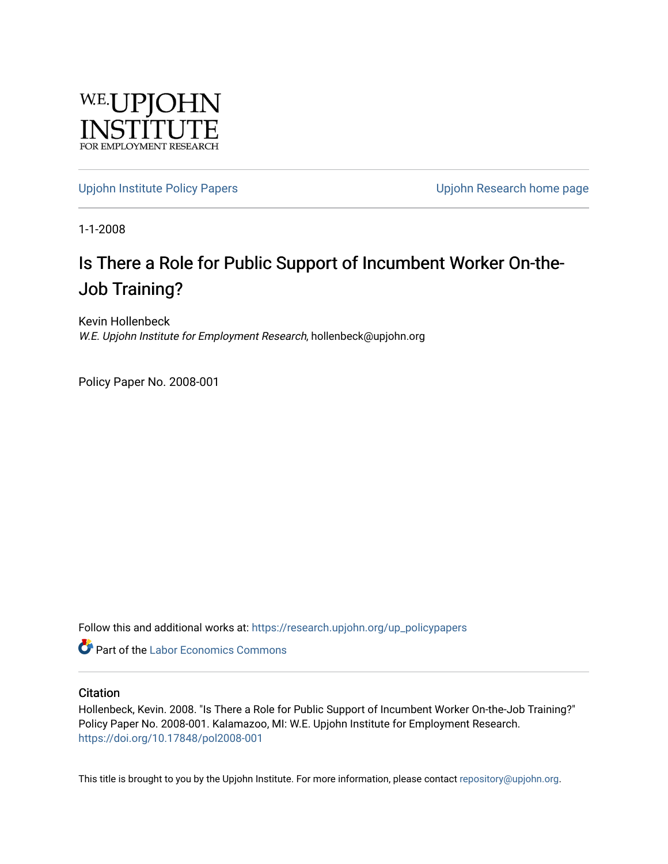

[Upjohn Institute Policy Papers](https://research.upjohn.org/up_policypapers) [Upjohn Research home page](https://research.upjohn.org/) 

1-1-2008

## Is There a Role for Public Support of Incumbent Worker On-the-Job Training?

Kevin Hollenbeck W.E. Upjohn Institute for Employment Research, hollenbeck@upjohn.org

Policy Paper No. 2008-001

Follow this and additional works at: [https://research.upjohn.org/up\\_policypapers](https://research.upjohn.org/up_policypapers?utm_source=research.upjohn.org%2Fup_policypapers%2F1&utm_medium=PDF&utm_campaign=PDFCoverPages)

**C** Part of the [Labor Economics Commons](http://network.bepress.com/hgg/discipline/349?utm_source=research.upjohn.org%2Fup_policypapers%2F1&utm_medium=PDF&utm_campaign=PDFCoverPages)

### **Citation**

Hollenbeck, Kevin. 2008. "Is There a Role for Public Support of Incumbent Worker On-the-Job Training?" Policy Paper No. 2008-001. Kalamazoo, MI: W.E. Upjohn Institute for Employment Research. <https://doi.org/10.17848/pol2008-001>

This title is brought to you by the Upjohn Institute. For more information, please contact [repository@upjohn.org](mailto:repository@upjohn.org).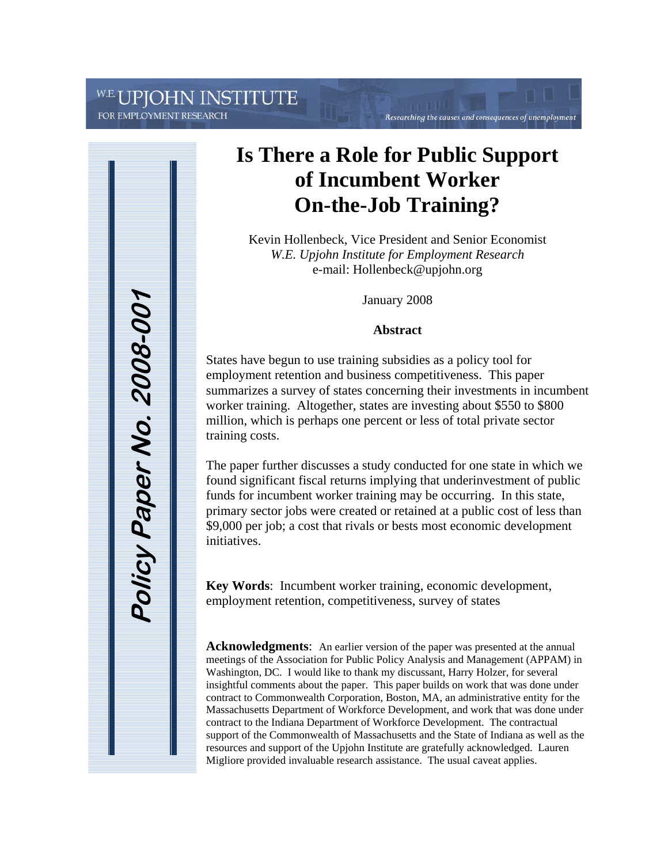# JPJOHN INSTITUTE

FOR EMPLOYMENT RESEARCH



# **Is There a Role for Public Support of Incumbent Worker On-the-Job Training?**

Researching the causes and consequences of unemployment

Kevin Hollenbeck, Vice President and Senior Economist *W.E. Upjohn Institute for Employment Research* e-mail: Hollenbeck@upjohn.org

January 2008

### **Abstract**

States have begun to use training subsidies as a policy tool for employment retention and business competitiveness. This paper summarizes a survey of states concerning their investments in incumbent worker training. Altogether, states are investing about \$550 to \$800 million, which is perhaps one percent or less of total private sector training costs.

The paper further discusses a study conducted for one state in which we found significant fiscal returns implying that underinvestment of public funds for incumbent worker training may be occurring. In this state, primary sector jobs were created or retained at a public cost of less than \$9,000 per job; a cost that rivals or bests most economic development initiatives.

**Key Words**: Incumbent worker training, economic development, employment retention, competitiveness, survey of states

**Acknowledgments**: An earlier version of the paper was presented at the annual meetings of the Association for Public Policy Analysis and Management (APPAM) in Washington, DC. I would like to thank my discussant, Harry Holzer, for several insightful comments about the paper. This paper builds on work that was done under contract to Commonwealth Corporation, Boston, MA, an administrative entity for the Massachusetts Department of Workforce Development, and work that was done under contract to the Indiana Department of Workforce Development. The contractual support of the Commonwealth of Massachusetts and the State of Indiana as well as the resources and support of the Upjohn Institute are gratefully acknowledged. Lauren Migliore provided invaluable research assistance. The usual caveat applies.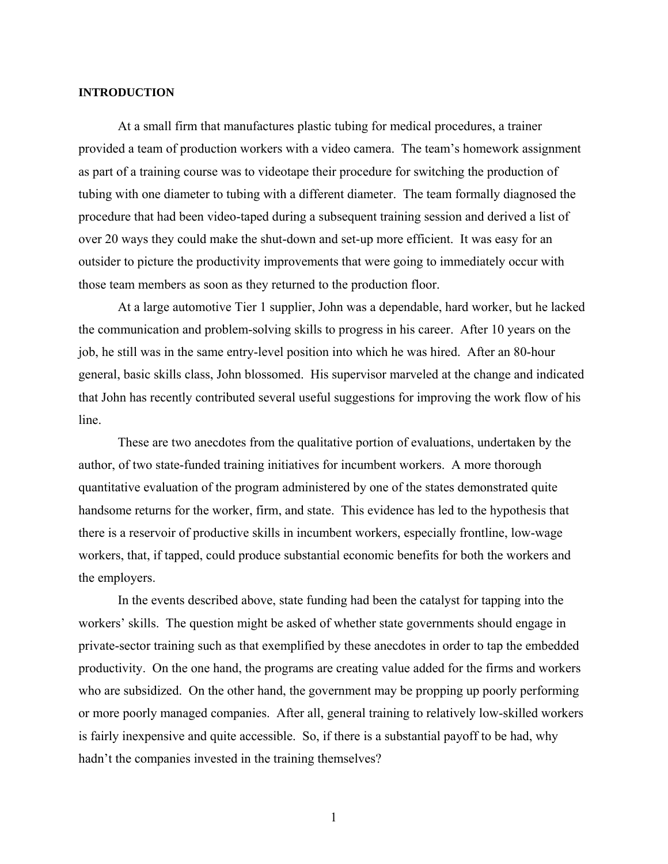#### **INTRODUCTION**

At a small firm that manufactures plastic tubing for medical procedures, a trainer provided a team of production workers with a video camera. The team's homework assignment as part of a training course was to videotape their procedure for switching the production of tubing with one diameter to tubing with a different diameter. The team formally diagnosed the procedure that had been video-taped during a subsequent training session and derived a list of over 20 ways they could make the shut-down and set-up more efficient. It was easy for an outsider to picture the productivity improvements that were going to immediately occur with those team members as soon as they returned to the production floor.

At a large automotive Tier 1 supplier, John was a dependable, hard worker, but he lacked the communication and problem-solving skills to progress in his career. After 10 years on the job, he still was in the same entry-level position into which he was hired. After an 80-hour general, basic skills class, John blossomed. His supervisor marveled at the change and indicated that John has recently contributed several useful suggestions for improving the work flow of his line.

These are two anecdotes from the qualitative portion of evaluations, undertaken by the author, of two state-funded training initiatives for incumbent workers. A more thorough quantitative evaluation of the program administered by one of the states demonstrated quite handsome returns for the worker, firm, and state. This evidence has led to the hypothesis that there is a reservoir of productive skills in incumbent workers, especially frontline, low-wage workers, that, if tapped, could produce substantial economic benefits for both the workers and the employers.

In the events described above, state funding had been the catalyst for tapping into the workers' skills. The question might be asked of whether state governments should engage in private-sector training such as that exemplified by these anecdotes in order to tap the embedded productivity. On the one hand, the programs are creating value added for the firms and workers who are subsidized. On the other hand, the government may be propping up poorly performing or more poorly managed companies. After all, general training to relatively low-skilled workers is fairly inexpensive and quite accessible. So, if there is a substantial payoff to be had, why hadn't the companies invested in the training themselves?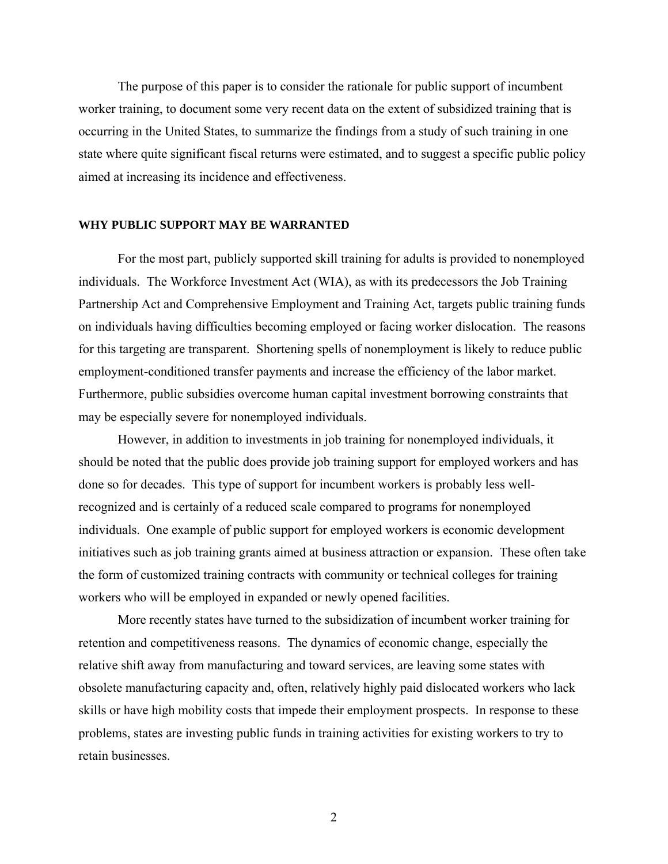The purpose of this paper is to consider the rationale for public support of incumbent worker training, to document some very recent data on the extent of subsidized training that is occurring in the United States, to summarize the findings from a study of such training in one state where quite significant fiscal returns were estimated, and to suggest a specific public policy aimed at increasing its incidence and effectiveness.

#### **WHY PUBLIC SUPPORT MAY BE WARRANTED**

For the most part, publicly supported skill training for adults is provided to nonemployed individuals. The Workforce Investment Act (WIA), as with its predecessors the Job Training Partnership Act and Comprehensive Employment and Training Act, targets public training funds on individuals having difficulties becoming employed or facing worker dislocation. The reasons for this targeting are transparent. Shortening spells of nonemployment is likely to reduce public employment-conditioned transfer payments and increase the efficiency of the labor market. Furthermore, public subsidies overcome human capital investment borrowing constraints that may be especially severe for nonemployed individuals.

However, in addition to investments in job training for nonemployed individuals, it should be noted that the public does provide job training support for employed workers and has done so for decades. This type of support for incumbent workers is probably less wellrecognized and is certainly of a reduced scale compared to programs for nonemployed individuals. One example of public support for employed workers is economic development initiatives such as job training grants aimed at business attraction or expansion. These often take the form of customized training contracts with community or technical colleges for training workers who will be employed in expanded or newly opened facilities.

More recently states have turned to the subsidization of incumbent worker training for retention and competitiveness reasons. The dynamics of economic change, especially the relative shift away from manufacturing and toward services, are leaving some states with obsolete manufacturing capacity and, often, relatively highly paid dislocated workers who lack skills or have high mobility costs that impede their employment prospects. In response to these problems, states are investing public funds in training activities for existing workers to try to retain businesses.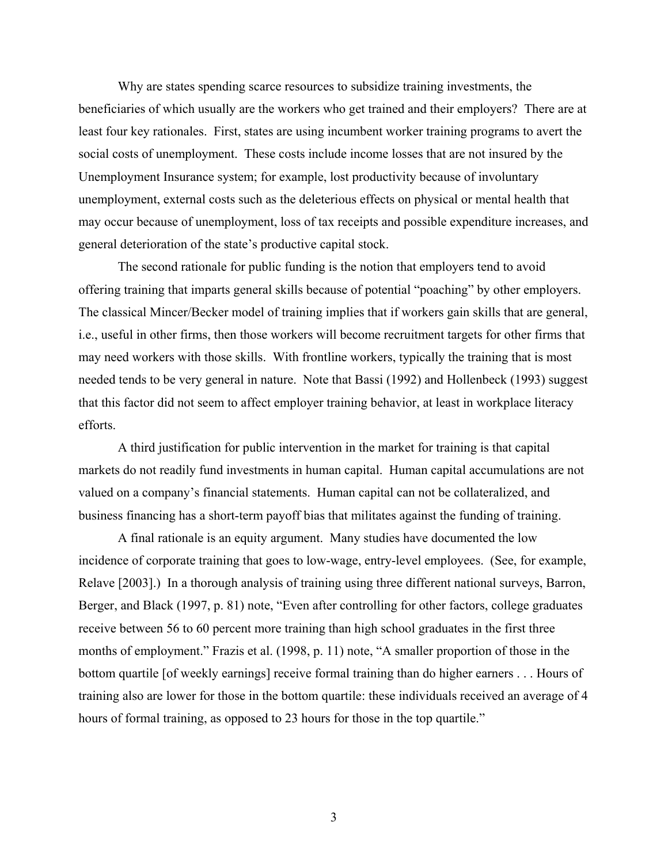Why are states spending scarce resources to subsidize training investments, the beneficiaries of which usually are the workers who get trained and their employers? There are at least four key rationales. First, states are using incumbent worker training programs to avert the social costs of unemployment. These costs include income losses that are not insured by the Unemployment Insurance system; for example, lost productivity because of involuntary unemployment, external costs such as the deleterious effects on physical or mental health that may occur because of unemployment, loss of tax receipts and possible expenditure increases, and general deterioration of the state's productive capital stock.

The second rationale for public funding is the notion that employers tend to avoid offering training that imparts general skills because of potential "poaching" by other employers. The classical Mincer/Becker model of training implies that if workers gain skills that are general, i.e., useful in other firms, then those workers will become recruitment targets for other firms that may need workers with those skills. With frontline workers, typically the training that is most needed tends to be very general in nature. Note that Bassi (1992) and Hollenbeck (1993) suggest that this factor did not seem to affect employer training behavior, at least in workplace literacy efforts.

A third justification for public intervention in the market for training is that capital markets do not readily fund investments in human capital. Human capital accumulations are not valued on a company's financial statements. Human capital can not be collateralized, and business financing has a short-term payoff bias that militates against the funding of training.

A final rationale is an equity argument. Many studies have documented the low incidence of corporate training that goes to low-wage, entry-level employees. (See, for example, Relave [2003].) In a thorough analysis of training using three different national surveys, Barron, Berger, and Black (1997, p. 81) note, "Even after controlling for other factors, college graduates receive between 56 to 60 percent more training than high school graduates in the first three months of employment." Frazis et al. (1998, p. 11) note, "A smaller proportion of those in the bottom quartile [of weekly earnings] receive formal training than do higher earners . . . Hours of training also are lower for those in the bottom quartile: these individuals received an average of 4 hours of formal training, as opposed to 23 hours for those in the top quartile."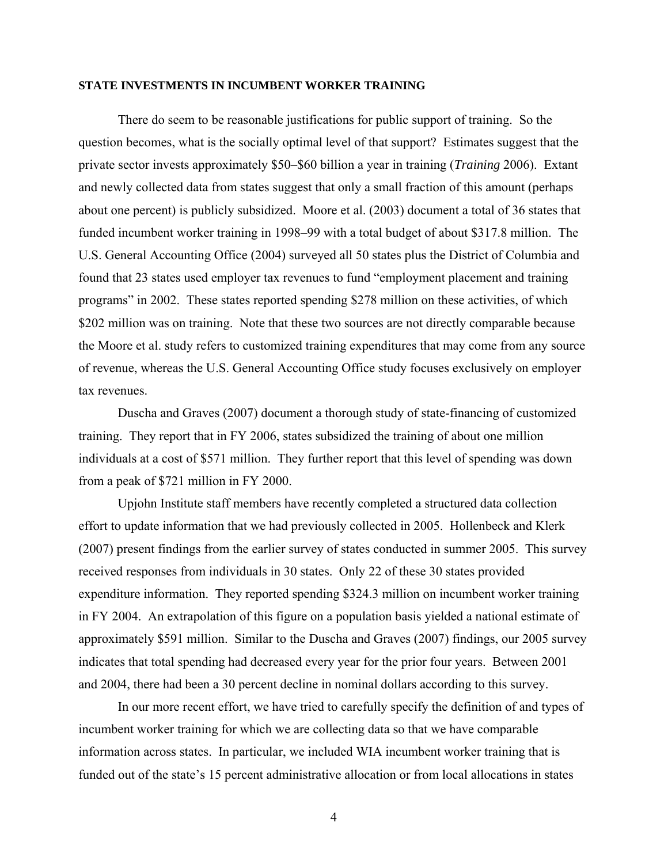#### **STATE INVESTMENTS IN INCUMBENT WORKER TRAINING**

There do seem to be reasonable justifications for public support of training. So the question becomes, what is the socially optimal level of that support? Estimates suggest that the private sector invests approximately \$50–\$60 billion a year in training (*Training* 2006). Extant and newly collected data from states suggest that only a small fraction of this amount (perhaps about one percent) is publicly subsidized. Moore et al. (2003) document a total of 36 states that funded incumbent worker training in 1998–99 with a total budget of about \$317.8 million. The U.S. General Accounting Office (2004) surveyed all 50 states plus the District of Columbia and found that 23 states used employer tax revenues to fund "employment placement and training programs" in 2002. These states reported spending \$278 million on these activities, of which \$202 million was on training. Note that these two sources are not directly comparable because the Moore et al. study refers to customized training expenditures that may come from any source of revenue, whereas the U.S. General Accounting Office study focuses exclusively on employer tax revenues.

Duscha and Graves (2007) document a thorough study of state-financing of customized training. They report that in FY 2006, states subsidized the training of about one million individuals at a cost of \$571 million. They further report that this level of spending was down from a peak of \$721 million in FY 2000.

Upjohn Institute staff members have recently completed a structured data collection effort to update information that we had previously collected in 2005. Hollenbeck and Klerk (2007) present findings from the earlier survey of states conducted in summer 2005. This survey received responses from individuals in 30 states. Only 22 of these 30 states provided expenditure information. They reported spending \$324.3 million on incumbent worker training in FY 2004. An extrapolation of this figure on a population basis yielded a national estimate of approximately \$591 million. Similar to the Duscha and Graves (2007) findings, our 2005 survey indicates that total spending had decreased every year for the prior four years. Between 2001 and 2004, there had been a 30 percent decline in nominal dollars according to this survey.

In our more recent effort, we have tried to carefully specify the definition of and types of incumbent worker training for which we are collecting data so that we have comparable information across states. In particular, we included WIA incumbent worker training that is funded out of the state's 15 percent administrative allocation or from local allocations in states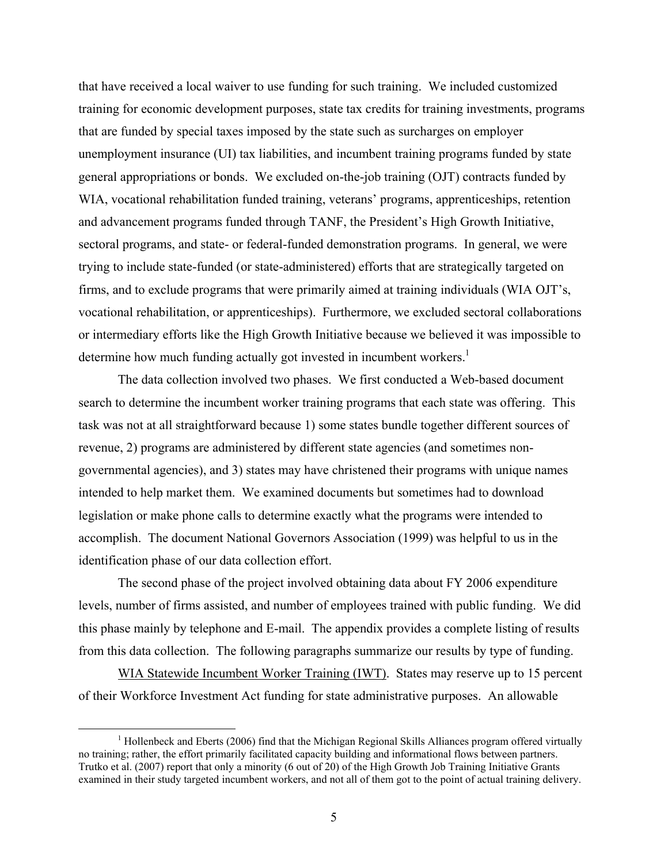that have received a local waiver to use funding for such training. We included customized training for economic development purposes, state tax credits for training investments, programs that are funded by special taxes imposed by the state such as surcharges on employer unemployment insurance (UI) tax liabilities, and incumbent training programs funded by state general appropriations or bonds. We excluded on-the-job training (OJT) contracts funded by WIA, vocational rehabilitation funded training, veterans' programs, apprenticeships, retention and advancement programs funded through TANF, the President's High Growth Initiative, sectoral programs, and state- or federal-funded demonstration programs. In general, we were trying to include state-funded (or state-administered) efforts that are strategically targeted on firms, and to exclude programs that were primarily aimed at training individuals (WIA OJT's, vocational rehabilitation, or apprenticeships). Furthermore, we excluded sectoral collaborations or intermediary efforts like the High Growth Initiative because we believed it was impossible to determine how much funding actually got invested in incumbent workers.<sup>1</sup>

The data collection involved two phases. We first conducted a Web-based document search to determine the incumbent worker training programs that each state was offering. This task was not at all straightforward because 1) some states bundle together different sources of revenue, 2) programs are administered by different state agencies (and sometimes nongovernmental agencies), and 3) states may have christened their programs with unique names intended to help market them. We examined documents but sometimes had to download legislation or make phone calls to determine exactly what the programs were intended to accomplish. The document National Governors Association (1999) was helpful to us in the identification phase of our data collection effort.

The second phase of the project involved obtaining data about FY 2006 expenditure levels, number of firms assisted, and number of employees trained with public funding. We did this phase mainly by telephone and E-mail. The appendix provides a complete listing of results from this data collection. The following paragraphs summarize our results by type of funding.

WIA Statewide Incumbent Worker Training (IWT). States may reserve up to 15 percent of their Workforce Investment Act funding for state administrative purposes. An allowable

<sup>&</sup>lt;u>1</u> <sup>1</sup> Hollenbeck and Eberts (2006) find that the Michigan Regional Skills Alliances program offered virtually no training; rather, the effort primarily facilitated capacity building and informational flows between partners. Trutko et al. (2007) report that only a minority (6 out of 20) of the High Growth Job Training Initiative Grants examined in their study targeted incumbent workers, and not all of them got to the point of actual training delivery.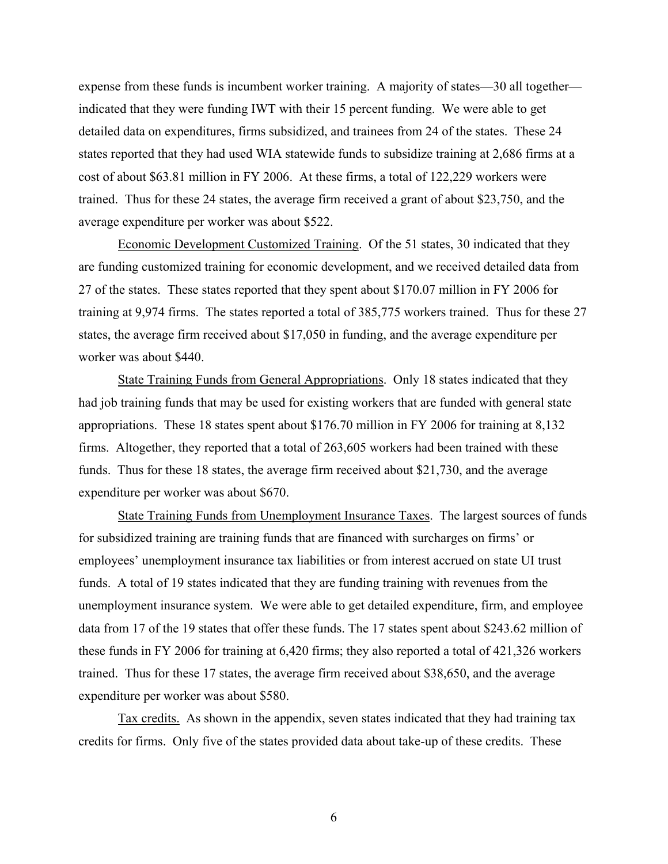expense from these funds is incumbent worker training. A majority of states—30 all together indicated that they were funding IWT with their 15 percent funding. We were able to get detailed data on expenditures, firms subsidized, and trainees from 24 of the states. These 24 states reported that they had used WIA statewide funds to subsidize training at 2,686 firms at a cost of about \$63.81 million in FY 2006. At these firms, a total of 122,229 workers were trained. Thus for these 24 states, the average firm received a grant of about \$23,750, and the average expenditure per worker was about \$522.

Economic Development Customized Training. Of the 51 states, 30 indicated that they are funding customized training for economic development, and we received detailed data from 27 of the states. These states reported that they spent about \$170.07 million in FY 2006 for training at 9,974 firms. The states reported a total of 385,775 workers trained. Thus for these 27 states, the average firm received about \$17,050 in funding, and the average expenditure per worker was about \$440.

State Training Funds from General Appropriations. Only 18 states indicated that they had job training funds that may be used for existing workers that are funded with general state appropriations. These 18 states spent about \$176.70 million in FY 2006 for training at 8,132 firms. Altogether, they reported that a total of 263,605 workers had been trained with these funds. Thus for these 18 states, the average firm received about \$21,730, and the average expenditure per worker was about \$670.

State Training Funds from Unemployment Insurance Taxes. The largest sources of funds for subsidized training are training funds that are financed with surcharges on firms' or employees' unemployment insurance tax liabilities or from interest accrued on state UI trust funds. A total of 19 states indicated that they are funding training with revenues from the unemployment insurance system. We were able to get detailed expenditure, firm, and employee data from 17 of the 19 states that offer these funds. The 17 states spent about \$243.62 million of these funds in FY 2006 for training at 6,420 firms; they also reported a total of 421,326 workers trained. Thus for these 17 states, the average firm received about \$38,650, and the average expenditure per worker was about \$580.

Tax credits. As shown in the appendix, seven states indicated that they had training tax credits for firms. Only five of the states provided data about take-up of these credits. These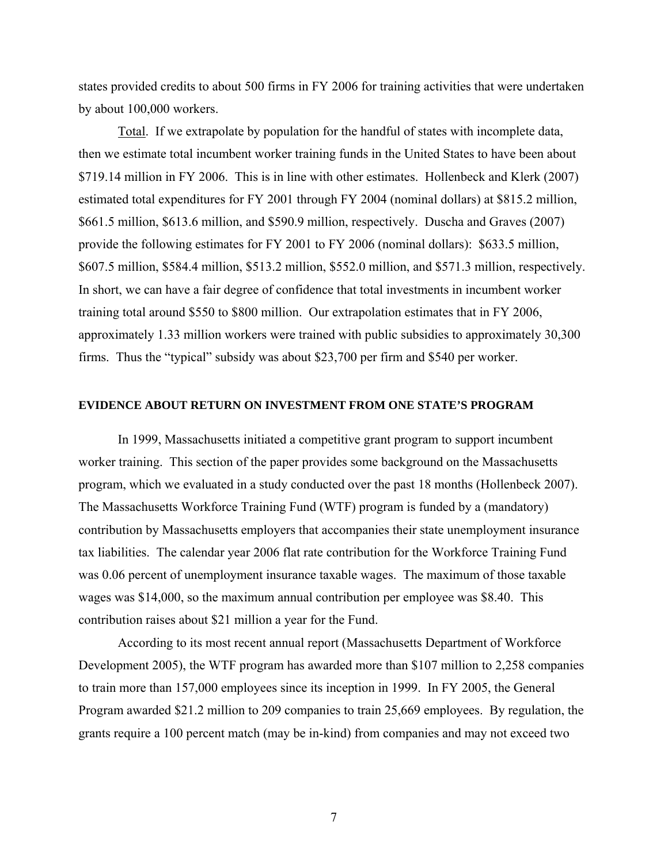states provided credits to about 500 firms in FY 2006 for training activities that were undertaken by about 100,000 workers.

Total. If we extrapolate by population for the handful of states with incomplete data, then we estimate total incumbent worker training funds in the United States to have been about \$719.14 million in FY 2006. This is in line with other estimates. Hollenbeck and Klerk (2007) estimated total expenditures for FY 2001 through FY 2004 (nominal dollars) at \$815.2 million, \$661.5 million, \$613.6 million, and \$590.9 million, respectively. Duscha and Graves (2007) provide the following estimates for FY 2001 to FY 2006 (nominal dollars): \$633.5 million, \$607.5 million, \$584.4 million, \$513.2 million, \$552.0 million, and \$571.3 million, respectively. In short, we can have a fair degree of confidence that total investments in incumbent worker training total around \$550 to \$800 million. Our extrapolation estimates that in FY 2006, approximately 1.33 million workers were trained with public subsidies to approximately 30,300 firms. Thus the "typical" subsidy was about \$23,700 per firm and \$540 per worker.

#### **EVIDENCE ABOUT RETURN ON INVESTMENT FROM ONE STATE'S PROGRAM**

In 1999, Massachusetts initiated a competitive grant program to support incumbent worker training. This section of the paper provides some background on the Massachusetts program, which we evaluated in a study conducted over the past 18 months (Hollenbeck 2007). The Massachusetts Workforce Training Fund (WTF) program is funded by a (mandatory) contribution by Massachusetts employers that accompanies their state unemployment insurance tax liabilities. The calendar year 2006 flat rate contribution for the Workforce Training Fund was 0.06 percent of unemployment insurance taxable wages. The maximum of those taxable wages was \$14,000, so the maximum annual contribution per employee was \$8.40. This contribution raises about \$21 million a year for the Fund.

According to its most recent annual report (Massachusetts Department of Workforce Development 2005), the WTF program has awarded more than \$107 million to 2,258 companies to train more than 157,000 employees since its inception in 1999. In FY 2005, the General Program awarded \$21.2 million to 209 companies to train 25,669 employees. By regulation, the grants require a 100 percent match (may be in-kind) from companies and may not exceed two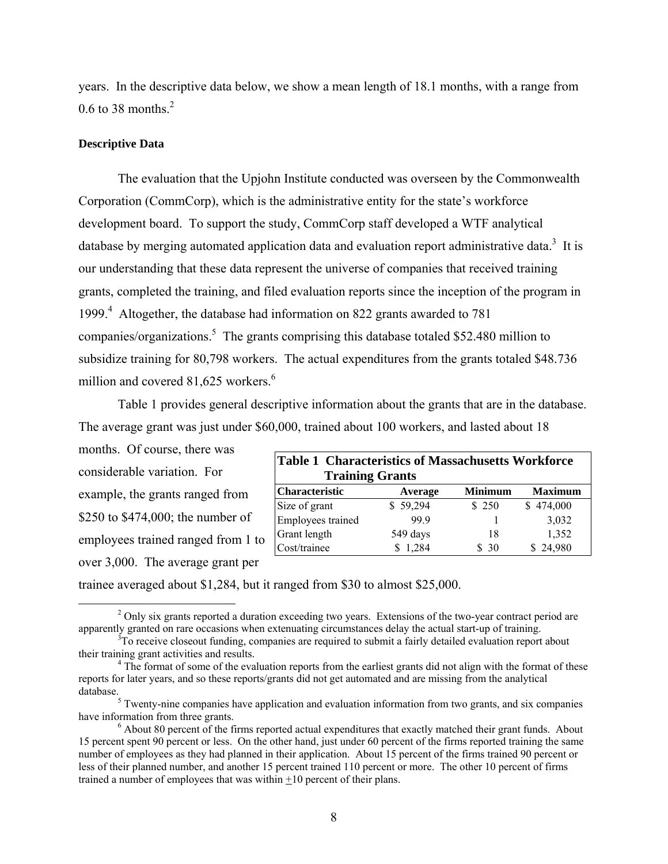years. In the descriptive data below, we show a mean length of 18.1 months, with a range from 0.6 to 38 months. $^2$ 

### **Descriptive Data**

The evaluation that the Upjohn Institute conducted was overseen by the Commonwealth Corporation (CommCorp), which is the administrative entity for the state's workforce development board. To support the study, CommCorp staff developed a WTF analytical database by merging automated application data and evaluation report administrative data.<sup>3</sup> It is our understanding that these data represent the universe of companies that received training grants, completed the training, and filed evaluation reports since the inception of the program in 1999.<sup>4</sup> Altogether, the database had information on 822 grants awarded to 781 companies/organizations.<sup>5</sup> The grants comprising this database totaled \$52.480 million to subsidize training for 80,798 workers. The actual expenditures from the grants totaled \$48.736 million and covered 81,625 workers.<sup>6</sup>

Table 1 provides general descriptive information about the grants that are in the database. The average grant was just under \$60,000, trained about 100 workers, and lasted about 18

months. Of course, there was considerable variation. For example, the grants ranged from \$250 to \$474,000; the number of employees trained ranged from 1 to over 3,000. The average grant per

| <b>Table 1 Characteristics of Massachusetts Workforce</b> |          |                |                |  |  |  |  |  |  |  |
|-----------------------------------------------------------|----------|----------------|----------------|--|--|--|--|--|--|--|
| <b>Training Grants</b>                                    |          |                |                |  |  |  |  |  |  |  |
| Characteristic                                            | Average  | <b>Minimum</b> | <b>Maximum</b> |  |  |  |  |  |  |  |
| Size of grant                                             | \$59,294 | \$250          | \$474,000      |  |  |  |  |  |  |  |
| Employees trained                                         | 999      |                | 3,032          |  |  |  |  |  |  |  |
| Grant length                                              | 549 days | 18             | 1,352          |  |  |  |  |  |  |  |
| Cost/trainee                                              | 1,284    | \$30           | \$24,980       |  |  |  |  |  |  |  |

trainee averaged about \$1,284, but it ranged from \$30 to almost \$25,000.

 $\frac{1}{2}$ <sup>2</sup> Only six grants reported a duration exceeding two years. Extensions of the two-year contract period are apparently granted on rare occasions when extenuating circumstances delay the actual start-up of training. 3

 ${}^{3}$ To receive closeout funding, companies are required to submit a fairly detailed evaluation report about their training grant activities and results. 4

<sup>&</sup>lt;sup>4</sup> The format of some of the evaluation reports from the earliest grants did not align with the format of these reports for later years, and so these reports/grants did not get automated and are missing from the analytical database.

 $\frac{1}{5}$  Twenty-nine companies have application and evaluation information from two grants, and six companies have information from three grants.

 $6$  About 80 percent of the firms reported actual expenditures that exactly matched their grant funds. About 15 percent spent 90 percent or less. On the other hand, just under 60 percent of the firms reported training the same number of employees as they had planned in their application. About 15 percent of the firms trained 90 percent or less of their planned number, and another 15 percent trained 110 percent or more. The other 10 percent of firms trained a number of employees that was within +10 percent of their plans.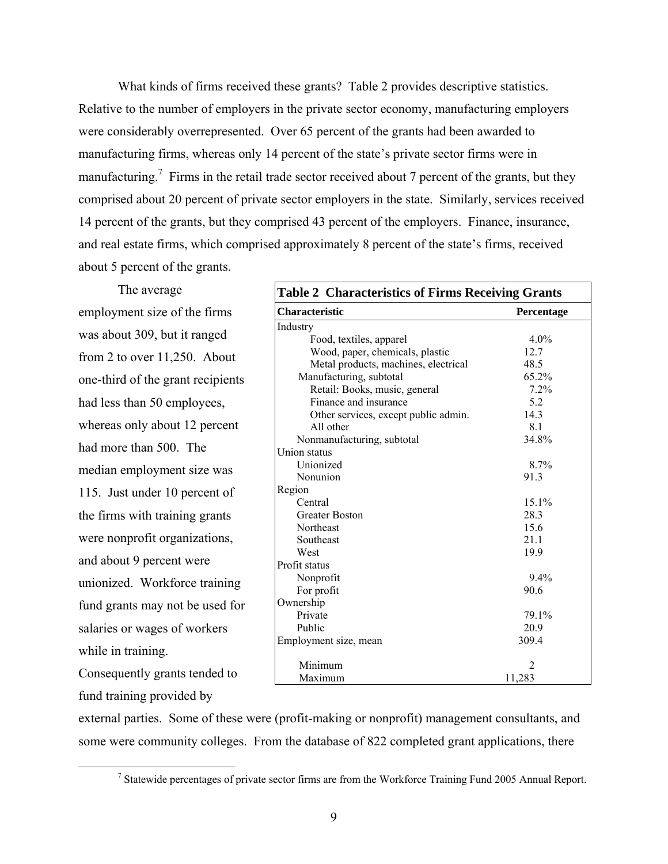What kinds of firms received these grants? Table 2 provides descriptive statistics. Relative to the number of employers in the private sector economy, manufacturing employers were considerably overrepresented. Over 65 percent of the grants had been awarded to manufacturing firms, whereas only 14 percent of the state's private sector firms were in manufacturing.<sup>7</sup> Firms in the retail trade sector received about 7 percent of the grants, but they comprised about 20 percent of private sector employers in the state. Similarly, services received 14 percent of the grants, but they comprised 43 percent of the employers. Finance, insurance, and real estate firms, which comprised approximately 8 percent of the state's firms, received about 5 percent of the grants.

The average employment size of the firms was about 309, but it ranged from 2 to over 11,250. About one-third of the grant recipients had less than 50 employees, whereas only about 12 percent had more than 500. The median employment size was 115. Just under 10 percent of the firms with training grants were nonprofit organizations, and about 9 percent were unionized. Workforce training fund grants may not be used for salaries or wages of workers while in training. Consequently grants tended to

**Table 2 Characteristics of Firms Receiving Grants Characteristic** Percentage Industry Food, textiles, apparel Wood, paper, chemicals, plastic Metal products, machines, electrical Manufacturing, subtotal 4.0% 12.7 48.5 65.2% Retail: Books, music, general Finance and insurance Other services, except public admin. All other Nonmanufacturing, subtotal 7.2% 5.2 14.3 8.1 34.8% Union status Unionized Nonunion 8.7% 91.3 Region **Central** Greater Boston Northeast Southeast West 15.1% 28.3 15.6 21.1 19.9 Profit status Nonprofit For profit 9.4% 90.6 Ownership Private Public 79.1% 20.9 Employment size, mean Minimum Maximum 309.4 2 11,283

fund training provided by

external parties. Some of these were (profit-making or nonprofit) management consultants, and some were community colleges. From the database of 822 completed grant applications, there

 $\frac{1}{7}$ <sup>7</sup> Statewide percentages of private sector firms are from the Workforce Training Fund 2005 Annual Report.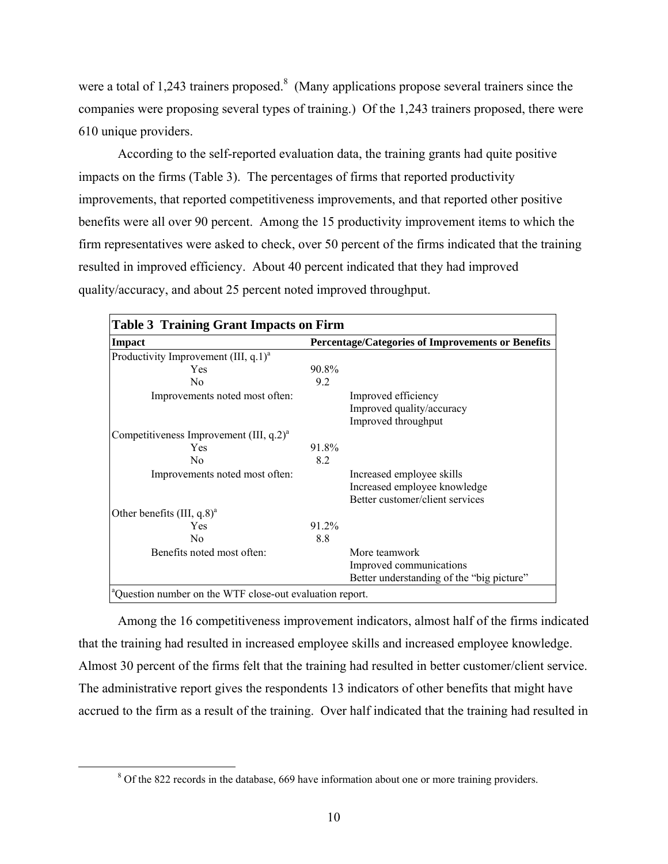were a total of 1,243 trainers proposed.<sup>8</sup> (Many applications propose several trainers since the companies were proposing several types of training.) Of the 1,243 trainers proposed, there were 610 unique providers.

According to the self-reported evaluation data, the training grants had quite positive impacts on the firms (Table 3). The percentages of firms that reported productivity improvements, that reported competitiveness improvements, and that reported other positive benefits were all over 90 percent. Among the 15 productivity improvement items to which the firm representatives were asked to check, over 50 percent of the firms indicated that the training resulted in improved efficiency. About 40 percent indicated that they had improved quality/accuracy, and about 25 percent noted improved throughput.

| <b>Table 3 Training Grant Impacts on Firm</b>                        |                                                   |                                                                                              |  |  |  |  |  |  |
|----------------------------------------------------------------------|---------------------------------------------------|----------------------------------------------------------------------------------------------|--|--|--|--|--|--|
| <b>Impact</b>                                                        | Percentage/Categories of Improvements or Benefits |                                                                                              |  |  |  |  |  |  |
| Productivity Improvement (III, $q.1$ ) <sup>a</sup>                  |                                                   |                                                                                              |  |  |  |  |  |  |
| Yes                                                                  | 90.8%                                             |                                                                                              |  |  |  |  |  |  |
| N <sub>0</sub>                                                       | 9.2                                               |                                                                                              |  |  |  |  |  |  |
| Improvements noted most often:                                       |                                                   | Improved efficiency<br>Improved quality/accuracy<br>Improved throughput                      |  |  |  |  |  |  |
| Competitiveness Improvement (III, $q.2$ ) <sup>a</sup>               |                                                   |                                                                                              |  |  |  |  |  |  |
| Yes                                                                  | 91.8%                                             |                                                                                              |  |  |  |  |  |  |
| N <sub>0</sub>                                                       | 8.2                                               |                                                                                              |  |  |  |  |  |  |
| Improvements noted most often:                                       |                                                   | Increased employee skills<br>Increased employee knowledge<br>Better customer/client services |  |  |  |  |  |  |
| Other benefits $(III, q.8)^{a}$                                      |                                                   |                                                                                              |  |  |  |  |  |  |
| Yes                                                                  | 91.2%                                             |                                                                                              |  |  |  |  |  |  |
| N <sub>0</sub>                                                       | 8.8                                               |                                                                                              |  |  |  |  |  |  |
| Benefits noted most often:                                           |                                                   | More teamwork<br>Improved communications<br>Better understanding of the "big picture"        |  |  |  |  |  |  |
| <sup>a</sup> Question number on the WTF close-out evaluation report. |                                                   |                                                                                              |  |  |  |  |  |  |

Among the 16 competitiveness improvement indicators, almost half of the firms indicated that the training had resulted in increased employee skills and increased employee knowledge. Almost 30 percent of the firms felt that the training had resulted in better customer/client service. The administrative report gives the respondents 13 indicators of other benefits that might have accrued to the firm as a result of the training. Over half indicated that the training had resulted in

 $\frac{1}{8}$ <sup>8</sup> Of the 822 records in the database, 669 have information about one or more training providers.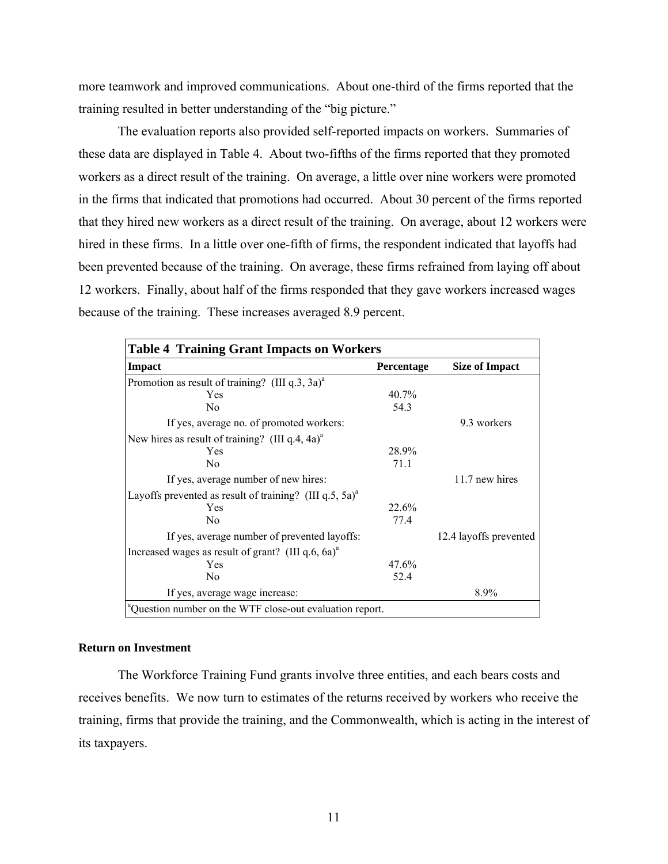more teamwork and improved communications. About one-third of the firms reported that the training resulted in better understanding of the "big picture."

The evaluation reports also provided self-reported impacts on workers. Summaries of these data are displayed in Table 4. About two-fifths of the firms reported that they promoted workers as a direct result of the training. On average, a little over nine workers were promoted in the firms that indicated that promotions had occurred. About 30 percent of the firms reported that they hired new workers as a direct result of the training. On average, about 12 workers were hired in these firms. In a little over one-fifth of firms, the respondent indicated that layoffs had been prevented because of the training. On average, these firms refrained from laying off about 12 workers. Finally, about half of the firms responded that they gave workers increased wages because of the training. These increases averaged 8.9 percent.

| <b>Table 4 Training Grant Impacts on Workers</b>                     |                   |                        |  |  |  |  |  |  |  |
|----------------------------------------------------------------------|-------------------|------------------------|--|--|--|--|--|--|--|
| Impact                                                               | <b>Percentage</b> | <b>Size of Impact</b>  |  |  |  |  |  |  |  |
| Promotion as result of training? (III $q_0$ , 3 $q_0$ ) <sup>a</sup> |                   |                        |  |  |  |  |  |  |  |
| Yes                                                                  | 40.7%             |                        |  |  |  |  |  |  |  |
| N <sub>0</sub>                                                       | 54.3              |                        |  |  |  |  |  |  |  |
| If yes, average no. of promoted workers:                             |                   | 9.3 workers            |  |  |  |  |  |  |  |
| New hires as result of training? (III q.4, 4a) <sup>a</sup>          |                   |                        |  |  |  |  |  |  |  |
| Yes                                                                  | 28.9%             |                        |  |  |  |  |  |  |  |
| N <sub>0</sub>                                                       | 71.1              |                        |  |  |  |  |  |  |  |
| If yes, average number of new hires:                                 |                   | 11.7 new hires         |  |  |  |  |  |  |  |
| Layoffs prevented as result of training? (III q.5, 5a) <sup>a</sup>  |                   |                        |  |  |  |  |  |  |  |
| Yes                                                                  | 22.6%             |                        |  |  |  |  |  |  |  |
| N <sub>0</sub>                                                       | 77.4              |                        |  |  |  |  |  |  |  |
| If yes, average number of prevented layoffs:                         |                   | 12.4 layoffs prevented |  |  |  |  |  |  |  |
| Increased wages as result of grant? (III $q.6$ , $6a)^a$ )           |                   |                        |  |  |  |  |  |  |  |
| Yes                                                                  | 47.6%             |                        |  |  |  |  |  |  |  |
| N <sub>0</sub>                                                       | 52.4              |                        |  |  |  |  |  |  |  |
| If yes, average wage increase:                                       |                   | 8.9%                   |  |  |  |  |  |  |  |
| <sup>a</sup> Question number on the WTF close-out evaluation report. |                   |                        |  |  |  |  |  |  |  |

#### **Return on Investment**

The Workforce Training Fund grants involve three entities, and each bears costs and receives benefits. We now turn to estimates of the returns received by workers who receive the training, firms that provide the training, and the Commonwealth, which is acting in the interest of its taxpayers.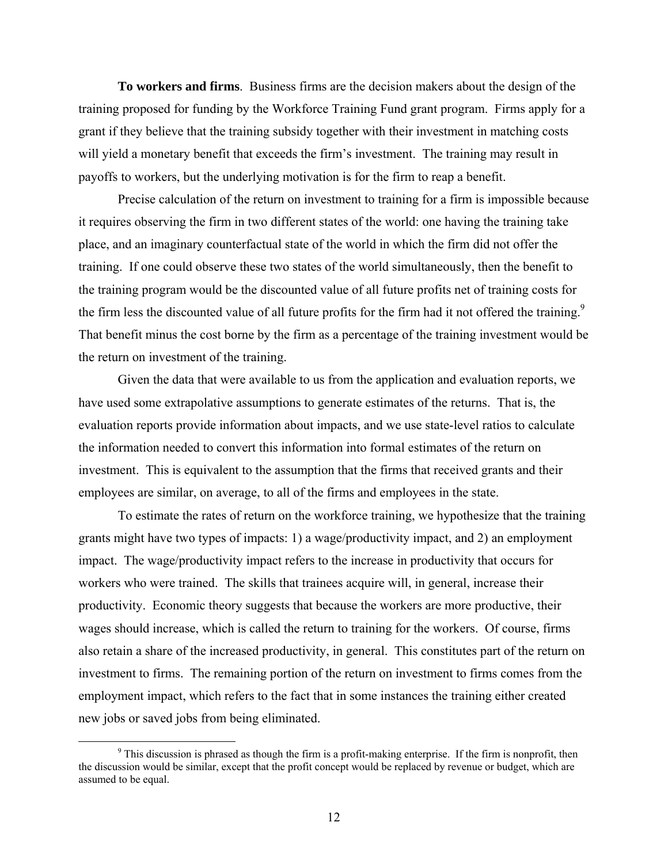**To workers and firms**. Business firms are the decision makers about the design of the training proposed for funding by the Workforce Training Fund grant program. Firms apply for a grant if they believe that the training subsidy together with their investment in matching costs will yield a monetary benefit that exceeds the firm's investment. The training may result in payoffs to workers, but the underlying motivation is for the firm to reap a benefit.

Precise calculation of the return on investment to training for a firm is impossible because it requires observing the firm in two different states of the world: one having the training take place, and an imaginary counterfactual state of the world in which the firm did not offer the training. If one could observe these two states of the world simultaneously, then the benefit to the training program would be the discounted value of all future profits net of training costs for the firm less the discounted value of all future profits for the firm had it not offered the training.<sup>9</sup> That benefit minus the cost borne by the firm as a percentage of the training investment would be the return on investment of the training.

Given the data that were available to us from the application and evaluation reports, we have used some extrapolative assumptions to generate estimates of the returns. That is, the evaluation reports provide information about impacts, and we use state-level ratios to calculate the information needed to convert this information into formal estimates of the return on investment. This is equivalent to the assumption that the firms that received grants and their employees are similar, on average, to all of the firms and employees in the state.

To estimate the rates of return on the workforce training, we hypothesize that the training grants might have two types of impacts: 1) a wage/productivity impact, and 2) an employment impact. The wage/productivity impact refers to the increase in productivity that occurs for workers who were trained. The skills that trainees acquire will, in general, increase their productivity. Economic theory suggests that because the workers are more productive, their wages should increase, which is called the return to training for the workers. Of course, firms also retain a share of the increased productivity, in general. This constitutes part of the return on investment to firms. The remaining portion of the return on investment to firms comes from the employment impact, which refers to the fact that in some instances the training either created new jobs or saved jobs from being eliminated.

 $\frac{1}{\sqrt{9}}$ <sup>9</sup> This discussion is phrased as though the firm is a profit-making enterprise. If the firm is nonprofit, then the discussion would be similar, except that the profit concept would be replaced by revenue or budget, which are assumed to be equal.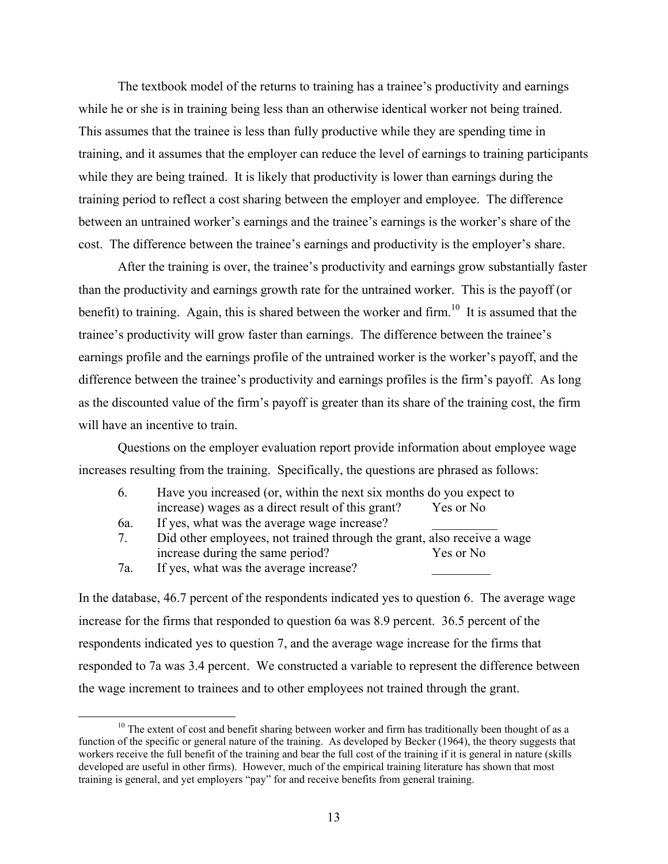The textbook model of the returns to training has a trainee's productivity and earnings while he or she is in training being less than an otherwise identical worker not being trained. This assumes that the trainee is less than fully productive while they are spending time in training, and it assumes that the employer can reduce the level of earnings to training participants while they are being trained. It is likely that productivity is lower than earnings during the training period to reflect a cost sharing between the employer and employee. The difference between an untrained worker's earnings and the trainee's earnings is the worker's share of the cost. The difference between the trainee's earnings and productivity is the employer's share.

After the training is over, the trainee's productivity and earnings grow substantially faster than the productivity and earnings growth rate for the untrained worker. This is the payoff (or benefit) to training. Again, this is shared between the worker and firm.<sup>10</sup> It is assumed that the trainee's productivity will grow faster than earnings. The difference between the trainee's earnings profile and the earnings profile of the untrained worker is the worker's payoff, and the difference between the trainee's productivity and earnings profiles is the firm's payoff. As long as the discounted value of the firm's payoff is greater than its share of the training cost, the firm will have an incentive to train.

Questions on the employer evaluation report provide information about employee wage increases resulting from the training. Specifically, the questions are phrased as follows:

| Have you increased (or, within the next six months do you expect to |           |
|---------------------------------------------------------------------|-----------|
| increase) wages as a direct result of this grant?                   | Yes or No |

- 6a. If yes, what was the average wage increase?
- 7. Did other employees, not trained through the grant, also receive a wage increase during the same period? Yes or No
- 7a. If yes, what was the average increase?

In the database, 46.7 percent of the respondents indicated yes to question 6. The average wage increase for the firms that responded to question 6a was 8.9 percent. 36.5 percent of the respondents indicated yes to question 7, and the average wage increase for the firms that responded to 7a was 3.4 percent. We constructed a variable to represent the difference between the wage increment to trainees and to other employees not trained through the grant.

 $10$  The extent of cost and benefit sharing between worker and firm has traditionally been thought of as a function of the specific or general nature of the training. As developed by Becker (1964), the theory suggests that workers receive the full benefit of the training and bear the full cost of the training if it is general in nature (skills developed are useful in other firms). However, much of the empirical training literature has shown that most training is general, and yet employers "pay" for and receive benefits from general training.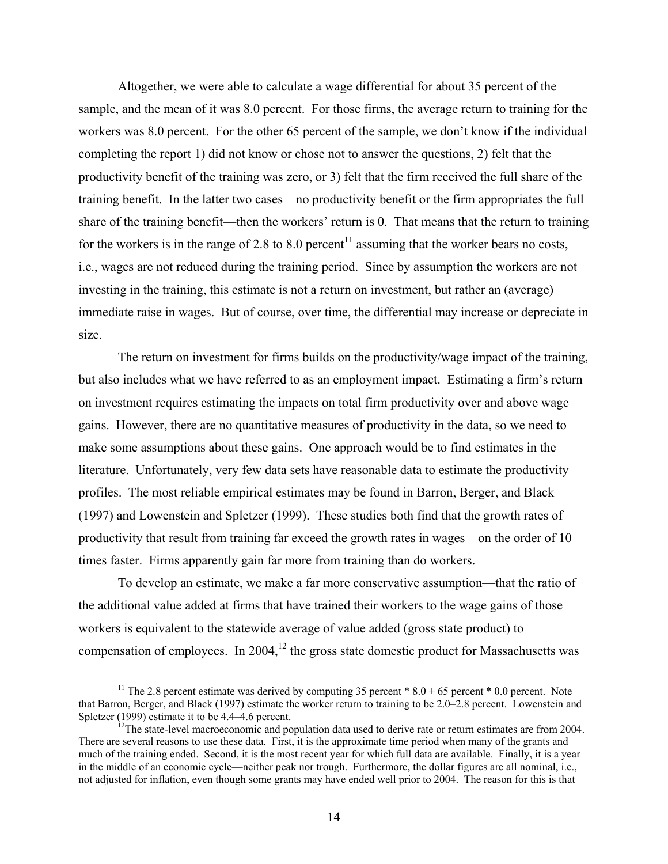Altogether, we were able to calculate a wage differential for about 35 percent of the sample, and the mean of it was 8.0 percent. For those firms, the average return to training for the workers was 8.0 percent. For the other 65 percent of the sample, we don't know if the individual completing the report 1) did not know or chose not to answer the questions, 2) felt that the productivity benefit of the training was zero, or 3) felt that the firm received the full share of the training benefit. In the latter two cases—no productivity benefit or the firm appropriates the full share of the training benefit—then the workers' return is 0. That means that the return to training for the workers is in the range of 2.8 to 8.0 percent<sup>11</sup> assuming that the worker bears no costs, i.e., wages are not reduced during the training period. Since by assumption the workers are not investing in the training, this estimate is not a return on investment, but rather an (average) immediate raise in wages. But of course, over time, the differential may increase or depreciate in size.

The return on investment for firms builds on the productivity/wage impact of the training, but also includes what we have referred to as an employment impact. Estimating a firm's return on investment requires estimating the impacts on total firm productivity over and above wage gains. However, there are no quantitative measures of productivity in the data, so we need to make some assumptions about these gains. One approach would be to find estimates in the literature. Unfortunately, very few data sets have reasonable data to estimate the productivity profiles. The most reliable empirical estimates may be found in Barron, Berger, and Black (1997) and Lowenstein and Spletzer (1999). These studies both find that the growth rates of productivity that result from training far exceed the growth rates in wages—on the order of 10 times faster. Firms apparently gain far more from training than do workers.

To develop an estimate, we make a far more conservative assumption—that the ratio of the additional value added at firms that have trained their workers to the wage gains of those workers is equivalent to the statewide average of value added (gross state product) to compensation of employees. In 2004,<sup>12</sup> the gross state domestic product for Massachusetts was

<sup>&</sup>lt;sup>11</sup> The 2.8 percent estimate was derived by computing 35 percent  $* 8.0 + 65$  percent  $* 0.0$  percent. Note that Barron, Berger, and Black (1997) estimate the worker return to training to be 2.0–2.8 percent. Lowenstein and Spletzer (1999) estimate it to be 4.4–4.6 percent.

<sup>&</sup>lt;sup>12</sup>The state-level macroeconomic and population data used to derive rate or return estimates are from 2004. There are several reasons to use these data. First, it is the approximate time period when many of the grants and much of the training ended. Second, it is the most recent year for which full data are available. Finally, it is a year in the middle of an economic cycle—neither peak nor trough. Furthermore, the dollar figures are all nominal, i.e., not adjusted for inflation, even though some grants may have ended well prior to 2004. The reason for this is that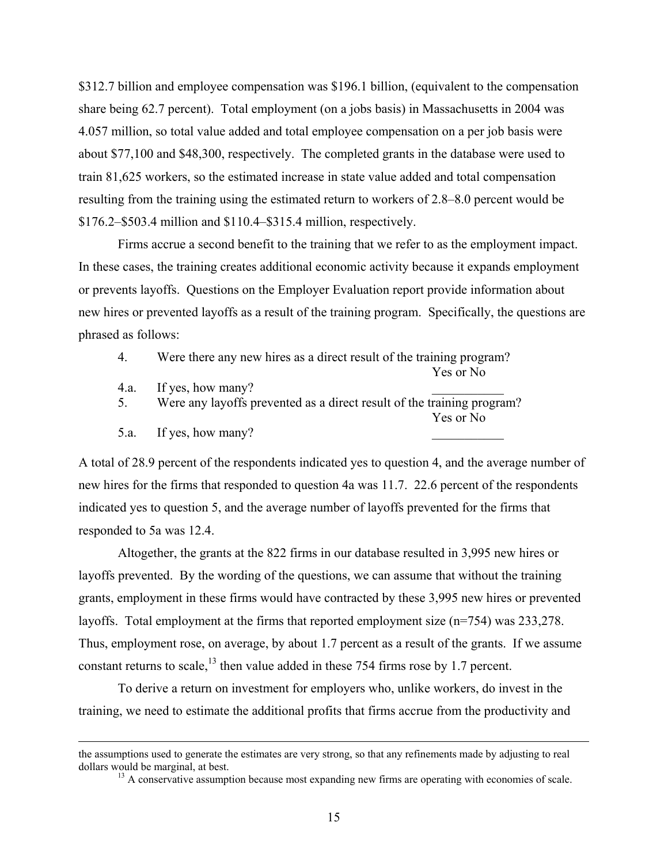\$312.7 billion and employee compensation was \$196.1 billion, (equivalent to the compensation share being 62.7 percent). Total employment (on a jobs basis) in Massachusetts in 2004 was 4.057 million, so total value added and total employee compensation on a per job basis were about \$77,100 and \$48,300, respectively. The completed grants in the database were used to train 81,625 workers, so the estimated increase in state value added and total compensation resulting from the training using the estimated return to workers of 2.8–8.0 percent would be \$176.2–\$503.4 million and \$110.4–\$315.4 million, respectively.

Firms accrue a second benefit to the training that we refer to as the employment impact. In these cases, the training creates additional economic activity because it expands employment or prevents layoffs. Questions on the Employer Evaluation report provide information about new hires or prevented layoffs as a result of the training program. Specifically, the questions are phrased as follows:

- 4. Were there any new hires as a direct result of the training program?
	- Yes or No
- 4.a. If yes, how many?
- 5. Were any layoffs prevented as a direct result of the training program? Yes or No
- 5.a. If yes, how many?

A total of 28.9 percent of the respondents indicated yes to question 4, and the average number of new hires for the firms that responded to question 4a was 11.7. 22.6 percent of the respondents indicated yes to question 5, and the average number of layoffs prevented for the firms that responded to 5a was 12.4.

Altogether, the grants at the 822 firms in our database resulted in 3,995 new hires or layoffs prevented. By the wording of the questions, we can assume that without the training grants, employment in these firms would have contracted by these 3,995 new hires or prevented layoffs. Total employment at the firms that reported employment size (n=754) was 233,278. Thus, employment rose, on average, by about 1.7 percent as a result of the grants. If we assume constant returns to scale, $^{13}$  then value added in these 754 firms rose by 1.7 percent.

To derive a return on investment for employers who, unlike workers, do invest in the training, we need to estimate the additional profits that firms accrue from the productivity and

the assumptions used to generate the estimates are very strong, so that any refinements made by adjusting to real dollars would be marginal, at best.<br><sup>13</sup> A conservative assumption because most expanding new firms are operating with economies of scale.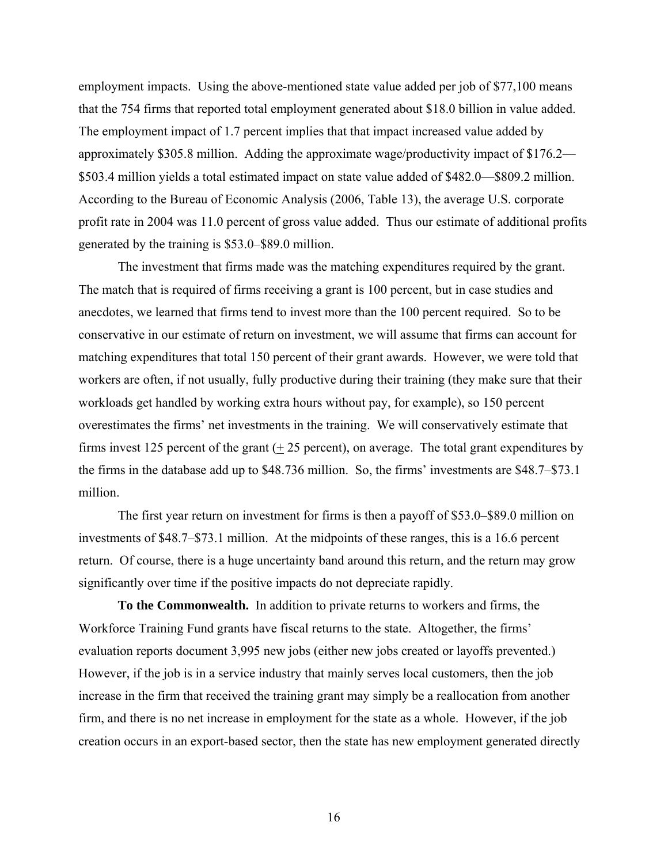employment impacts. Using the above-mentioned state value added per job of \$77,100 means that the 754 firms that reported total employment generated about \$18.0 billion in value added. The employment impact of 1.7 percent implies that that impact increased value added by approximately \$305.8 million. Adding the approximate wage/productivity impact of \$176.2— \$503.4 million yields a total estimated impact on state value added of \$482.0—\$809.2 million. According to the Bureau of Economic Analysis (2006, Table 13), the average U.S. corporate profit rate in 2004 was 11.0 percent of gross value added. Thus our estimate of additional profits generated by the training is \$53.0–\$89.0 million.

The investment that firms made was the matching expenditures required by the grant. The match that is required of firms receiving a grant is 100 percent, but in case studies and anecdotes, we learned that firms tend to invest more than the 100 percent required. So to be conservative in our estimate of return on investment, we will assume that firms can account for matching expenditures that total 150 percent of their grant awards. However, we were told that workers are often, if not usually, fully productive during their training (they make sure that their workloads get handled by working extra hours without pay, for example), so 150 percent overestimates the firms' net investments in the training. We will conservatively estimate that firms invest 125 percent of the grant (+ 25 percent), on average. The total grant expenditures by the firms in the database add up to \$48.736 million. So, the firms' investments are \$48.7–\$73.1 million.

The first year return on investment for firms is then a payoff of \$53.0–\$89.0 million on investments of \$48.7–\$73.1 million. At the midpoints of these ranges, this is a 16.6 percent return. Of course, there is a huge uncertainty band around this return, and the return may grow significantly over time if the positive impacts do not depreciate rapidly.

**To the Commonwealth.** In addition to private returns to workers and firms, the Workforce Training Fund grants have fiscal returns to the state. Altogether, the firms' evaluation reports document 3,995 new jobs (either new jobs created or layoffs prevented.) However, if the job is in a service industry that mainly serves local customers, then the job increase in the firm that received the training grant may simply be a reallocation from another firm, and there is no net increase in employment for the state as a whole. However, if the job creation occurs in an export-based sector, then the state has new employment generated directly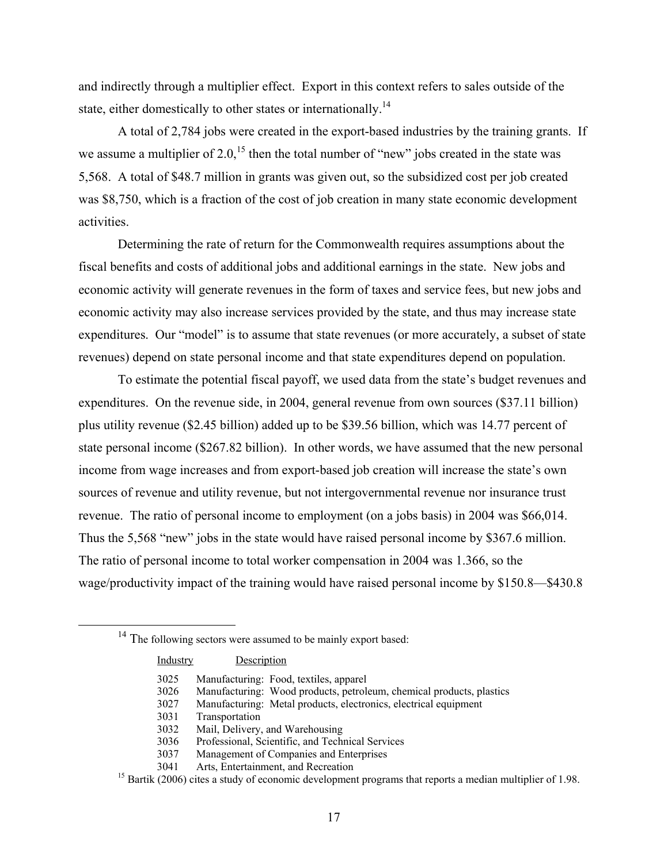and indirectly through a multiplier effect. Export in this context refers to sales outside of the state, either domestically to other states or internationally.<sup>14</sup>

A total of 2,784 jobs were created in the export-based industries by the training grants. If we assume a multiplier of 2.0,<sup>15</sup> then the total number of "new" jobs created in the state was 5,568. A total of \$48.7 million in grants was given out, so the subsidized cost per job created was \$8,750, which is a fraction of the cost of job creation in many state economic development activities.

Determining the rate of return for the Commonwealth requires assumptions about the fiscal benefits and costs of additional jobs and additional earnings in the state. New jobs and economic activity will generate revenues in the form of taxes and service fees, but new jobs and economic activity may also increase services provided by the state, and thus may increase state expenditures. Our "model" is to assume that state revenues (or more accurately, a subset of state revenues) depend on state personal income and that state expenditures depend on population.

To estimate the potential fiscal payoff, we used data from the state's budget revenues and expenditures. On the revenue side, in 2004, general revenue from own sources (\$37.11 billion) plus utility revenue (\$2.45 billion) added up to be \$39.56 billion, which was 14.77 percent of state personal income (\$267.82 billion). In other words, we have assumed that the new personal income from wage increases and from export-based job creation will increase the state's own sources of revenue and utility revenue, but not intergovernmental revenue nor insurance trust revenue. The ratio of personal income to employment (on a jobs basis) in 2004 was \$66,014. Thus the 5,568 "new" jobs in the state would have raised personal income by \$367.6 million. The ratio of personal income to total worker compensation in 2004 was 1.366, so the wage/productivity impact of the training would have raised personal income by \$150.8—\$430.8

<sup>&</sup>lt;sup>14</sup> The following sectors were assumed to be mainly export based:

| Industry | Description                                                                                                          |
|----------|----------------------------------------------------------------------------------------------------------------------|
| 3025     | Manufacturing: Food, textiles, apparel                                                                               |
| 3026     | Manufacturing: Wood products, petroleum, chemical products, plastics                                                 |
| 3027     | Manufacturing: Metal products, electronics, electrical equipment                                                     |
| 3031     | Transportation                                                                                                       |
| 3032     | Mail, Delivery, and Warehousing                                                                                      |
| 3036     | Professional, Scientific, and Technical Services                                                                     |
| 3037     | Management of Companies and Enterprises                                                                              |
| 3041     | Arts, Entertainment, and Recreation                                                                                  |
|          | <sup>15</sup> Bartik (2006) cites a study of economic development programs that reports a median multiplier of 1.98. |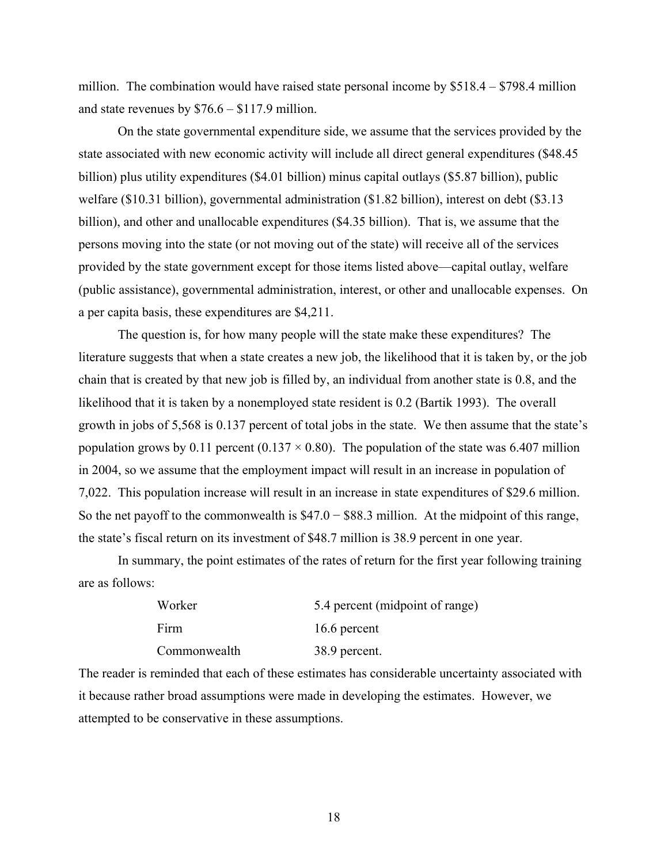million. The combination would have raised state personal income by  $$518.4 - $798.4$  million and state revenues by \$76.6 – \$117.9 million.

On the state governmental expenditure side, we assume that the services provided by the state associated with new economic activity will include all direct general expenditures (\$48.45 billion) plus utility expenditures (\$4.01 billion) minus capital outlays (\$5.87 billion), public welfare (\$10.31 billion), governmental administration (\$1.82 billion), interest on debt (\$3.13 billion), and other and unallocable expenditures (\$4.35 billion). That is, we assume that the persons moving into the state (or not moving out of the state) will receive all of the services provided by the state government except for those items listed above—capital outlay, welfare (public assistance), governmental administration, interest, or other and unallocable expenses. On a per capita basis, these expenditures are \$4,211.

The question is, for how many people will the state make these expenditures? The literature suggests that when a state creates a new job, the likelihood that it is taken by, or the job chain that is created by that new job is filled by, an individual from another state is 0.8, and the likelihood that it is taken by a nonemployed state resident is 0.2 (Bartik 1993). The overall growth in jobs of 5,568 is 0.137 percent of total jobs in the state. We then assume that the state's population grows by 0.11 percent (0.137  $\times$  0.80). The population of the state was 6.407 million in 2004, so we assume that the employment impact will result in an increase in population of 7,022. This population increase will result in an increase in state expenditures of \$29.6 million. So the net payoff to the commonwealth is  $$47.0 - $88.3$  million. At the midpoint of this range, the state's fiscal return on its investment of \$48.7 million is 38.9 percent in one year.

In summary, the point estimates of the rates of return for the first year following training are as follows:

| Worker       | 5.4 percent (midpoint of range) |  |  |  |  |
|--------------|---------------------------------|--|--|--|--|
| Firm         | 16.6 percent                    |  |  |  |  |
| Commonwealth | 38.9 percent.                   |  |  |  |  |

The reader is reminded that each of these estimates has considerable uncertainty associated with it because rather broad assumptions were made in developing the estimates. However, we attempted to be conservative in these assumptions.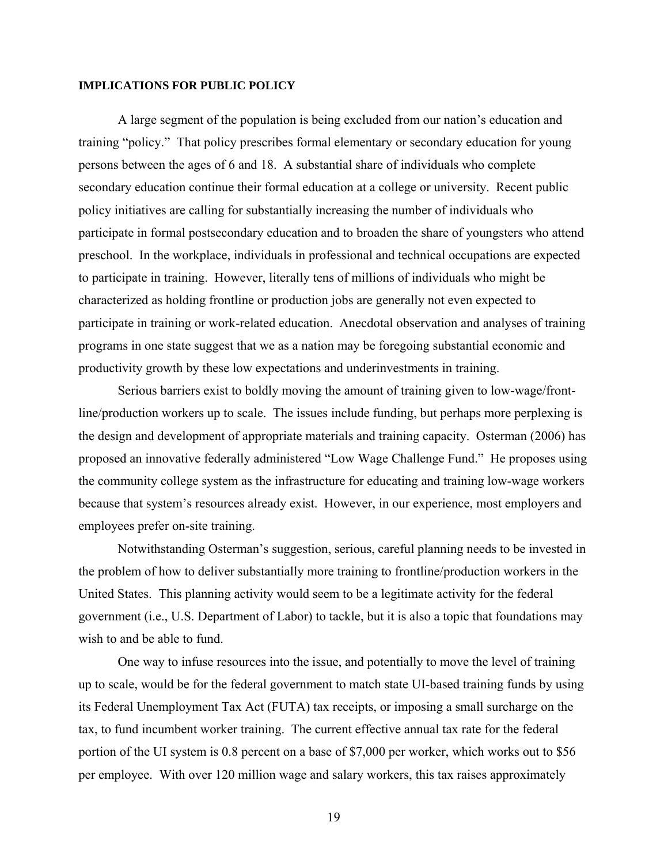#### **IMPLICATIONS FOR PUBLIC POLICY**

A large segment of the population is being excluded from our nation's education and training "policy." That policy prescribes formal elementary or secondary education for young persons between the ages of 6 and 18. A substantial share of individuals who complete secondary education continue their formal education at a college or university. Recent public policy initiatives are calling for substantially increasing the number of individuals who participate in formal postsecondary education and to broaden the share of youngsters who attend preschool. In the workplace, individuals in professional and technical occupations are expected to participate in training. However, literally tens of millions of individuals who might be characterized as holding frontline or production jobs are generally not even expected to participate in training or work-related education. Anecdotal observation and analyses of training programs in one state suggest that we as a nation may be foregoing substantial economic and productivity growth by these low expectations and underinvestments in training.

Serious barriers exist to boldly moving the amount of training given to low-wage/frontline/production workers up to scale. The issues include funding, but perhaps more perplexing is the design and development of appropriate materials and training capacity. Osterman (2006) has proposed an innovative federally administered "Low Wage Challenge Fund." He proposes using the community college system as the infrastructure for educating and training low-wage workers because that system's resources already exist. However, in our experience, most employers and employees prefer on-site training.

Notwithstanding Osterman's suggestion, serious, careful planning needs to be invested in the problem of how to deliver substantially more training to frontline/production workers in the United States. This planning activity would seem to be a legitimate activity for the federal government (i.e., U.S. Department of Labor) to tackle, but it is also a topic that foundations may wish to and be able to fund.

One way to infuse resources into the issue, and potentially to move the level of training up to scale, would be for the federal government to match state UI-based training funds by using its Federal Unemployment Tax Act (FUTA) tax receipts, or imposing a small surcharge on the tax, to fund incumbent worker training. The current effective annual tax rate for the federal portion of the UI system is 0.8 percent on a base of \$7,000 per worker, which works out to \$56 per employee. With over 120 million wage and salary workers, this tax raises approximately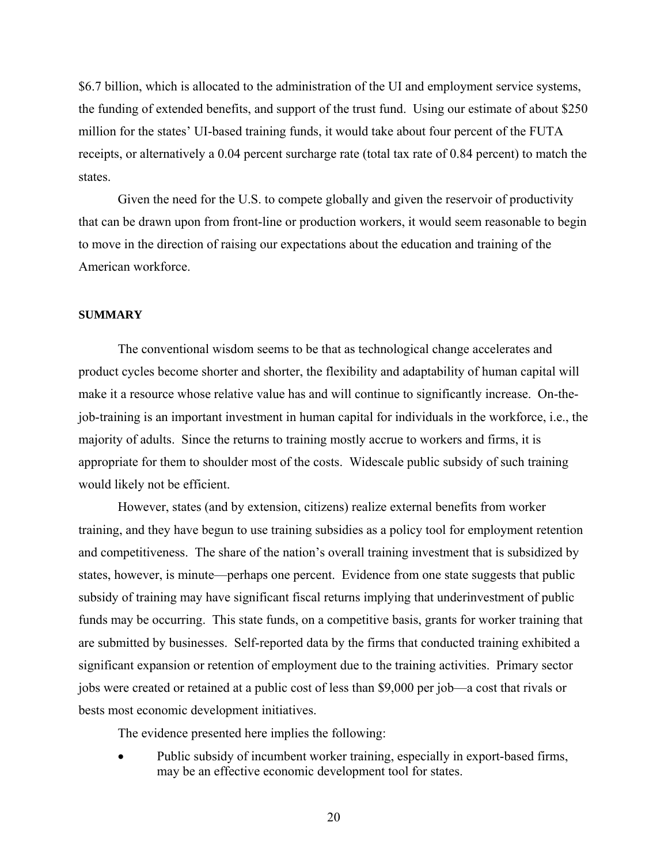\$6.7 billion, which is allocated to the administration of the UI and employment service systems, the funding of extended benefits, and support of the trust fund. Using our estimate of about \$250 million for the states' UI-based training funds, it would take about four percent of the FUTA receipts, or alternatively a 0.04 percent surcharge rate (total tax rate of 0.84 percent) to match the states.

Given the need for the U.S. to compete globally and given the reservoir of productivity that can be drawn upon from front-line or production workers, it would seem reasonable to begin to move in the direction of raising our expectations about the education and training of the American workforce.

### **SUMMARY**

The conventional wisdom seems to be that as technological change accelerates and product cycles become shorter and shorter, the flexibility and adaptability of human capital will make it a resource whose relative value has and will continue to significantly increase. On-thejob-training is an important investment in human capital for individuals in the workforce, i.e., the majority of adults. Since the returns to training mostly accrue to workers and firms, it is appropriate for them to shoulder most of the costs. Widescale public subsidy of such training would likely not be efficient.

However, states (and by extension, citizens) realize external benefits from worker training, and they have begun to use training subsidies as a policy tool for employment retention and competitiveness. The share of the nation's overall training investment that is subsidized by states, however, is minute—perhaps one percent. Evidence from one state suggests that public subsidy of training may have significant fiscal returns implying that underinvestment of public funds may be occurring. This state funds, on a competitive basis, grants for worker training that are submitted by businesses. Self-reported data by the firms that conducted training exhibited a significant expansion or retention of employment due to the training activities. Primary sector jobs were created or retained at a public cost of less than \$9,000 per job—a cost that rivals or bests most economic development initiatives.

The evidence presented here implies the following:

• Public subsidy of incumbent worker training, especially in export-based firms, may be an effective economic development tool for states.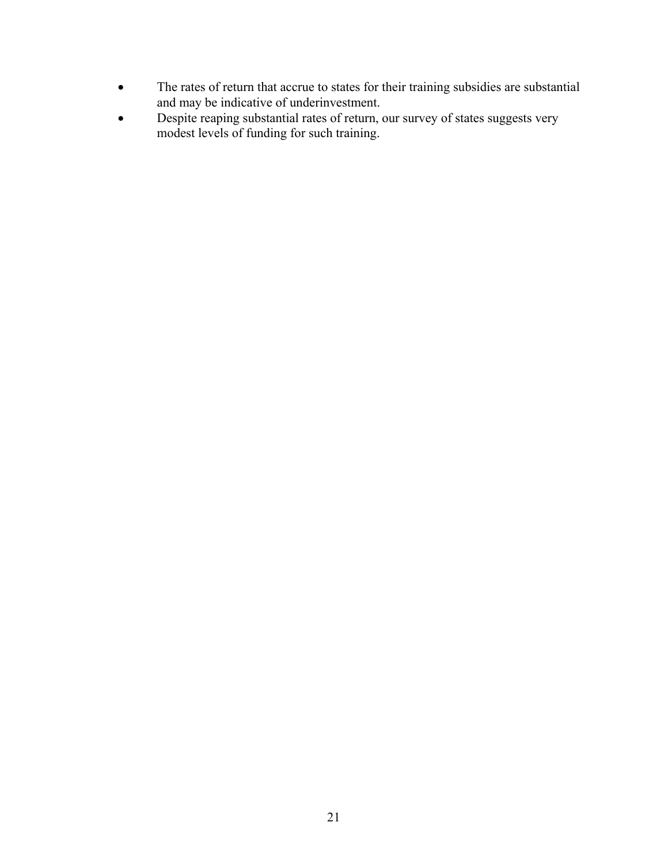- The rates of return that accrue to states for their training subsidies are substantial and may be indicative of underinvestment.
- Despite reaping substantial rates of return, our survey of states suggests very modest levels of funding for such training.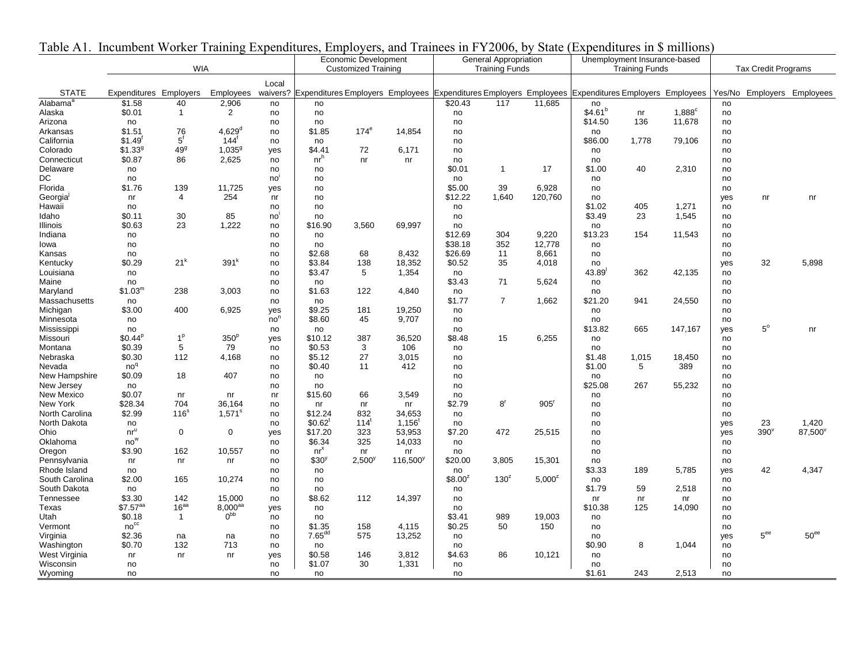| $140R \Delta 1$ .<br>THUMHOUTH WORKER FRAMMING EXPONDITUATES, EMPLOYEES, AND FRAMMES IN FITZOOO, OY STAIL (EXPONDITUATES IN 9 MINDO |                        |                  |                            |                 | Economic Development                                                                                        |                       |             | General Appropriation |                  |                  | Unemployment Insurance-based |       |                |     |                 |                            |
|-------------------------------------------------------------------------------------------------------------------------------------|------------------------|------------------|----------------------------|-----------------|-------------------------------------------------------------------------------------------------------------|-----------------------|-------------|-----------------------|------------------|------------------|------------------------------|-------|----------------|-----|-----------------|----------------------------|
| <b>WIA</b>                                                                                                                          |                        |                  | <b>Customized Training</b> |                 |                                                                                                             | <b>Training Funds</b> |             | <b>Training Funds</b> |                  |                  | <b>Tax Credit Programs</b>   |       |                |     |                 |                            |
|                                                                                                                                     |                        |                  |                            | Local           |                                                                                                             |                       |             |                       |                  |                  |                              |       |                |     |                 |                            |
| <b>STATE</b>                                                                                                                        | Expenditures Employers |                  | Employees                  |                 | waivers? Expenditures Employers Employees Expenditures Employers Employees Expenditures Employers Employees |                       |             |                       |                  |                  |                              |       |                |     |                 | Yes/No Employers Employees |
| Alabama <sup>a</sup>                                                                                                                | \$1.58                 | 40               | 2,906                      | no              | no                                                                                                          |                       |             | \$20.43               | 117              | 11.685           | no                           |       |                | no  |                 |                            |
| Alaska                                                                                                                              | \$0.01                 | $\mathbf{1}$     | 2                          | no              | no                                                                                                          |                       |             | no                    |                  |                  | \$4.61 <sup>b</sup>          | nr    | $1,888^\circ$  | no  |                 |                            |
| Arizona                                                                                                                             | no                     |                  |                            | no              | no                                                                                                          |                       |             | no                    |                  |                  | \$14.50                      | 136   | 11,678         | no  |                 |                            |
| Arkansas                                                                                                                            | \$1.51                 | 76               | $4,629^{\rm d}$            | no              | \$1.85                                                                                                      | 174 <sup>e</sup>      | 14,854      | no                    |                  |                  | no                           |       |                | no  |                 |                            |
| California                                                                                                                          | $$1.49$ <sup>f</sup>   | $5^{\dagger}$    | $144^{\dagger}$            | no              | no                                                                                                          |                       |             | no                    |                  |                  | \$86.00                      | 1,778 | 79,106         | no  |                 |                            |
| Colorado                                                                                                                            | \$1.33 <sup>9</sup>    | 49 <sup>9</sup>  | $1,035^9$                  | yes             | \$4.41                                                                                                      | 72                    | 6,171       | no                    |                  |                  | no                           |       |                | no  |                 |                            |
| Connecticut                                                                                                                         | \$0.87                 | 86               | 2,625                      | no              | nr <sup>h</sup>                                                                                             | nr                    | nr          | no                    |                  |                  | no                           |       |                | no  |                 |                            |
| Delaware                                                                                                                            | no                     |                  |                            | no              | no                                                                                                          |                       |             | \$0.01                | $\mathbf{1}$     | 17               | \$1.00                       | 40    | 2,310          | no  |                 |                            |
| DC                                                                                                                                  | no                     |                  |                            | no              | no                                                                                                          |                       |             | no                    |                  |                  | no                           |       |                | no  |                 |                            |
| Florida                                                                                                                             | \$1.76                 | 139              | 11,725                     | yes             | no                                                                                                          |                       |             | \$5.00                | 39               | 6,928            | no                           |       |                | no  |                 |                            |
| Georgia                                                                                                                             | nr                     | $\overline{4}$   | 254                        | nr              | no                                                                                                          |                       |             | \$12.22               | 1,640            | 120,760          | no                           |       |                | yes | nr              | nr                         |
| Hawaii                                                                                                                              | no                     |                  |                            | no              | no                                                                                                          |                       |             | no                    |                  |                  | \$1.02                       | 405   | 1,271          | no  |                 |                            |
| Idaho                                                                                                                               | \$0.11                 | 30               | 85                         | no              | no                                                                                                          |                       |             | no                    |                  |                  | \$3.49                       | 23    | 1,545          | no  |                 |                            |
| Illinois                                                                                                                            | \$0.63                 | 23               | 1,222                      | no              | \$16.90                                                                                                     | 3,560                 | 69,997      | no                    |                  |                  | no                           |       |                | no  |                 |                            |
| Indiana                                                                                                                             | no                     |                  |                            | no              | no                                                                                                          |                       |             | \$12.69               | 304              | 9,220            | \$13.23                      | 154   | 11,543         | no  |                 |                            |
| lowa                                                                                                                                | no                     |                  |                            | no              | no                                                                                                          |                       |             | \$38.18               | 352              | 12,778           | no                           |       |                | no  |                 |                            |
| Kansas                                                                                                                              | no                     |                  |                            | no              | \$2.68                                                                                                      | 68                    | 8,432       | \$26.69               | 11               | 8,661            | no                           |       |                | no  |                 |                            |
| Kentucky                                                                                                                            | \$0.29                 | 21 <sup>k</sup>  | 391 <sup>k</sup>           | no              | \$3.84                                                                                                      | 138                   | 18,352      | \$0.52                | 35               | 4,018            | no                           |       |                | yes | 32              | 5,898                      |
| Louisiana                                                                                                                           | no                     |                  |                            | no              | \$3.47                                                                                                      | 5                     | 1,354       | no                    |                  |                  | $43.89$ <sup>1</sup>         | 362   | 42,135         | no  |                 |                            |
| Maine                                                                                                                               | no                     |                  |                            | no              | no                                                                                                          |                       |             | \$3.43                | 71               | 5,624            | no                           |       |                | no  |                 |                            |
| Maryland                                                                                                                            | \$1.03 <sup>m</sup>    | 238              | 3,003                      | no              | \$1.63                                                                                                      | 122                   | 4,840       | no                    |                  |                  | no                           |       |                | no  |                 |                            |
| Massachusetts                                                                                                                       | no                     |                  |                            | no              | no                                                                                                          |                       |             | \$1.77                | $\overline{7}$   | 1,662            | \$21.20                      | 941   | 24,550         | no  |                 |                            |
| Michigan                                                                                                                            | \$3.00                 | 400              | 6,925                      | yes             | \$9.25                                                                                                      | 181                   | 19,250      | no                    |                  |                  | no                           |       |                | no  |                 |                            |
| Minnesota                                                                                                                           | no                     |                  |                            | no <sup>n</sup> | \$8.60                                                                                                      | 45                    | 9,707       | no                    |                  |                  | no                           |       |                | no  |                 |                            |
| Mississippi                                                                                                                         | no                     |                  |                            | no              | no                                                                                                          |                       |             | no                    |                  |                  | \$13.82                      | 665   | 147,167        | yes | $5^{\circ}$     | nr                         |
| Missouri                                                                                                                            | $$0.44^{p}$            | 1 <sup>p</sup>   | 350 <sup>p</sup>           | yes             | \$10.12                                                                                                     | 387                   | 36,520      | \$8.48                | 15               | 6,255            | no                           |       |                | no  |                 |                            |
| Montana                                                                                                                             | \$0.39                 | 5                | 79                         | no              | \$0.53                                                                                                      | 3                     | 106         | no                    |                  |                  | no                           |       |                | no  |                 |                            |
| Nebraska                                                                                                                            | \$0.30                 | 112              | 4,168                      | no              | \$5.12                                                                                                      | 27                    | 3,015       | no                    |                  |                  | \$1.48                       | 1,015 | 18,450         | no  |                 |                            |
| Nevada                                                                                                                              | no <sup>q</sup>        |                  |                            | no              | \$0.40                                                                                                      | 11                    | 412         | no                    |                  |                  | \$1.00                       | 5     | 389            | no  |                 |                            |
| New Hampshire                                                                                                                       | \$0.09                 | 18               | 407                        | no              | no                                                                                                          |                       |             | no                    |                  |                  | no                           |       |                | no  |                 |                            |
| New Jersey                                                                                                                          | no                     |                  |                            | no              | no                                                                                                          |                       |             | no                    |                  |                  | \$25.08                      | 267   | 55,232         | no  |                 |                            |
| New Mexico                                                                                                                          | \$0.07                 | nr               | nr                         | nr              | \$15.60                                                                                                     | 66                    | 3,549       | no                    |                  |                  | no                           |       |                | no  |                 |                            |
| New York                                                                                                                            | \$28.34                | 704              | 36,164                     | no              | n <sub>r</sub>                                                                                              | nr                    | nr          | \$2.79                | 8 <sup>r</sup>   | 905 <sup>r</sup> | no                           |       |                | no  |                 |                            |
| North Carolina                                                                                                                      | \$2.99                 | 116 <sup>s</sup> | $1,571^s$                  | no              | \$12.24                                                                                                     | 832                   | 34,653      | no                    |                  |                  | no                           |       |                | no  |                 |                            |
| North Dakota                                                                                                                        | no                     |                  |                            | no              | $$0.62$ <sup>t</sup>                                                                                        | $114^t$               | $1,156^t$   | no                    |                  |                  | no                           |       |                | yes | 23              | 1,420                      |
| Ohio                                                                                                                                | $nr^u$                 | $\mathbf 0$      | 0                          | yes             | \$17.20                                                                                                     | 323                   | 53,953      | \$7.20                | 472              | 25,515           | no                           |       |                | yes | $390^{\circ}$   | 87,500°                    |
| Oklahoma                                                                                                                            | $no^w$                 |                  |                            | no              | \$6.34                                                                                                      | 325                   | 14,033      | no                    |                  |                  | no                           |       |                | no  |                 |                            |
| Oregon                                                                                                                              | \$3.90                 | 162              | 10,557                     | no              | $nr^x$                                                                                                      | n <sub>r</sub>        | nr          | no                    |                  |                  | no                           |       |                | no  |                 |                            |
| Pennsylvania                                                                                                                        | nr                     | nr               | nr                         | no              | \$30 <sup>y</sup>                                                                                           | $2,500^y$             | $116,500^y$ | \$20.00               | 3,805            | 15,301           | no                           |       |                | no  |                 |                            |
| Rhode Island                                                                                                                        | no                     |                  |                            | no              | no                                                                                                          |                       |             | no                    |                  |                  | \$3.33                       | 189   | 5,785          | yes | 42              | 4,347                      |
| South Carolina                                                                                                                      | \$2.00                 | 165              | 10,274                     | no              | no                                                                                                          |                       |             | \$8.00 <sup>2</sup>   | 130 <sup>z</sup> | $5,000^2$        | no                           |       |                | no  |                 |                            |
| South Dakota                                                                                                                        | no                     |                  |                            | no              | no                                                                                                          |                       |             | no                    |                  |                  | \$1.79                       | 59    | 2,518          | no  |                 |                            |
| Tennessee                                                                                                                           | \$3.30                 | 142              | 15,000                     | no              | \$8.62                                                                                                      | 112                   | 14,397      | no                    |                  |                  | nr                           | nr    | n <sub>r</sub> | no  |                 |                            |
| Texas                                                                                                                               | \$7.57 <sup>aa</sup>   | 16 <sup>aa</sup> | $8,000^{aa}$               | yes             | no                                                                                                          |                       |             | no                    |                  |                  | \$10.38                      | 125   | 14,090         | no  |                 |                            |
| Utah                                                                                                                                | \$0.18                 | $\mathbf{1}$     | $0pp$                      | no              | no                                                                                                          |                       |             | \$3.41                | 989              | 19,003           | no                           |       |                | no  |                 |                            |
| Vermont                                                                                                                             | no <sup>cc</sup>       |                  |                            | no              | \$1.35                                                                                                      | 158                   | 4,115       | \$0.25                | 50               | 150              | no                           |       |                | no  |                 |                            |
| Virginia                                                                                                                            | \$2.36                 | na               | na                         | no              | 7.65 <sup>dd</sup>                                                                                          | 575                   | 13,252      | no                    |                  |                  | no                           |       |                | yes | 5 <sup>ee</sup> | 50 <sup>ee</sup>           |
| Washington                                                                                                                          | \$0.70                 | 132              | 713                        | no              | no                                                                                                          |                       |             | no                    |                  |                  | \$0.90                       | 8     | 1,044          | no  |                 |                            |
| West Virginia                                                                                                                       | nr                     | nr               | nr                         | yes             | \$0.58                                                                                                      | 146                   | 3,812       | \$4.63                | 86               | 10,121           | no                           |       |                | no  |                 |                            |
| Wisconsin                                                                                                                           | no                     |                  |                            | no              | \$1.07                                                                                                      | 30                    | 1,331       | no                    |                  |                  | no                           |       |                | no  |                 |                            |
| Wyoming                                                                                                                             | no                     |                  |                            | no              | no                                                                                                          |                       |             | no                    |                  |                  | \$1.61                       | 243   | 2,513          | no  |                 |                            |

Table A1. Incumbent Worker Training Expenditures, Employers, and Trainees in FY2006, by State (Expenditures in \$ millions)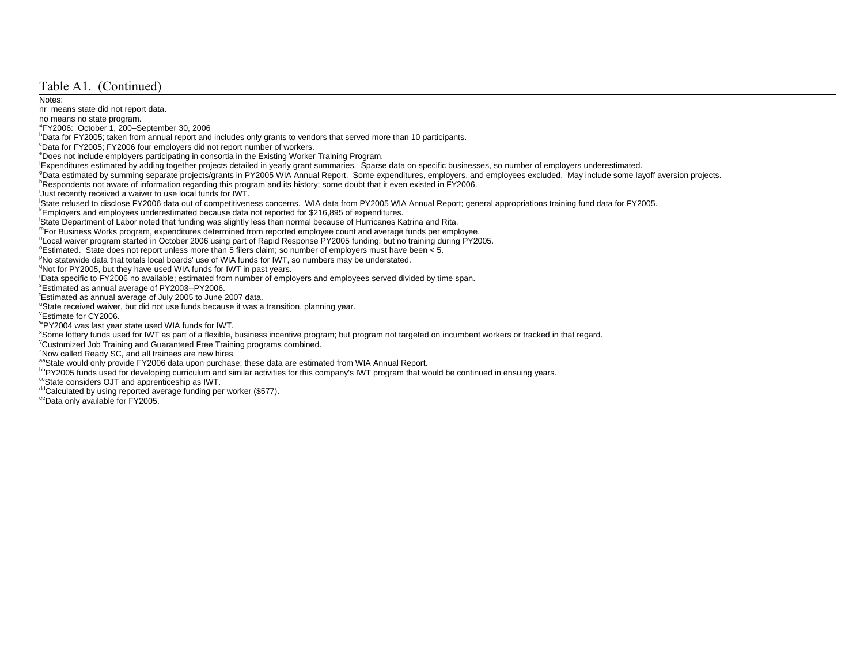#### Table A1. (Continued)

#### Notes:

nr means state did not report data.

no means no state program.

aFY2006: October 1, 200–September 30, 2006

bData for FY2005; taken from annual report and includes only grants to vendors that served more than 10 participants.

cData for FY2005; FY2006 four employers did not report number of workers.

eDoes not include employers participating in consortia in the Existing Worker Training Program.<br>Expenditures estimated by adding together projects detailed in yearly grant summaries. Sparse data on specific businesses, so

<sup>9</sup>Data estimated by summing separate projects/grants in PY2005 WIA Annual Report. Some expenditures, employers, and employees excluded. May include some layoff aversion projects.<br><sup>h</sup>Respondents not aware of information re

iJust recently received a waiver to use local funds for IWT.

<sup>1</sup>State refused to disclose FY2006 data out of competitiveness concerns. WIA data from PY2005 WIA Annual Report; general appropriations training fund data for FY2005.<br><sup>k</sup>Employers and employees underestimated because data

lState Department of Labor noted that funding was slightly less than normal because of Hurricanes Katrina and Rita.

mFor Business Works program, expenditures determined from reported employee count and average funds per employee.

nLocal waiver program started in October 2006 using part of Rapid Response PY2005 funding; but no training during PY2005.

 $\textdegree$ Estimated. State does not report unless more than 5 filers claim; so number of employers must have been < 5.

PNo statewide data that totals local boards' use of WIA funds for IWT, so numbers may be understated.

<sup>q</sup>Not for PY2005, but they have used WIA funds for IWT in past years.

rData specific to FY2006 no available; estimated from number of employers and employees served divided by time span.

sEstimated as annual average of PY2003--PY2006.

tEstimated as annual average of July 2005 to June 2007 data.

<sup>u</sup>State received waiver, but did not use funds because it was a transition, planning year.

vEstimate for CY2006.

wPY2004 was last year state used WIA funds for IWT.

<sup>x</sup>Some lottery funds used for IWT as part of a flexible, business incentive program; but program not targeted on incumbent workers or tracked in that regard.<br><sup>y</sup>Customized Job Training and Guaranteed Free Training program

<sup>z</sup>Now called Ready SC, and all trainees are new hires.<br><sup>aa</sup>State would only provide FY2006 data upon purchase; these data are estimated from WIA Annual Report.

bbPY2005 funds used for developing curriculum and similar activities for this company's IWT program that would be continued in ensuing years.

ccState considers OJT and apprenticeship as IWT.

ddCalculated by using reported average funding per worker (\$577).

eeData only available for FY2005.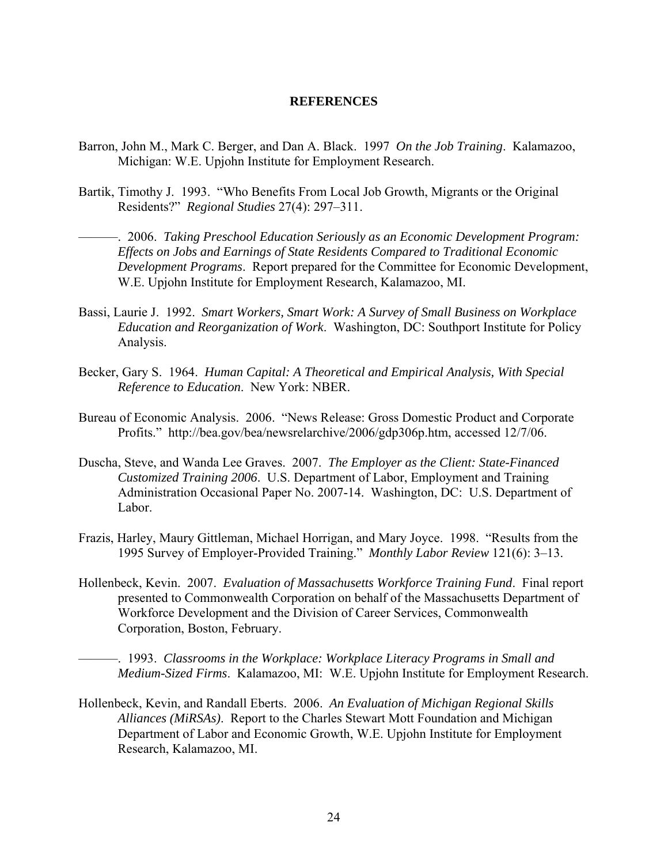#### **REFERENCES**

- Barron, John M., Mark C. Berger, and Dan A. Black. 1997 *On the Job Training*. Kalamazoo, Michigan: W.E. Upjohn Institute for Employment Research.
- Bartik, Timothy J. 1993. "Who Benefits From Local Job Growth, Migrants or the Original Residents?" *Regional Studies* 27(4): 297–311.

———. 2006. *Taking Preschool Education Seriously as an Economic Development Program: Effects on Jobs and Earnings of State Residents Compared to Traditional Economic Development Programs*. Report prepared for the Committee for Economic Development, W.E. Upjohn Institute for Employment Research, Kalamazoo, MI.

- Bassi, Laurie J. 1992. *Smart Workers, Smart Work: A Survey of Small Business on Workplace Education and Reorganization of Work*. Washington, DC: Southport Institute for Policy Analysis.
- Becker, Gary S. 1964. *Human Capital: A Theoretical and Empirical Analysis, With Special Reference to Education*. New York: NBER.
- Bureau of Economic Analysis. 2006. "News Release: Gross Domestic Product and Corporate Profits." http://bea.gov/bea/newsrelarchive/2006/gdp306p.htm, accessed 12/7/06.
- Duscha, Steve, and Wanda Lee Graves. 2007. *The Employer as the Client: State-Financed Customized Training 2006*. U.S. Department of Labor, Employment and Training Administration Occasional Paper No. 2007-14. Washington, DC: U.S. Department of Labor.
- Frazis, Harley, Maury Gittleman, Michael Horrigan, and Mary Joyce. 1998. "Results from the 1995 Survey of Employer-Provided Training." *Monthly Labor Review* 121(6): 3–13.
- Hollenbeck, Kevin. 2007. *Evaluation of Massachusetts Workforce Training Fund*. Final report presented to Commonwealth Corporation on behalf of the Massachusetts Department of Workforce Development and the Division of Career Services, Commonwealth Corporation, Boston, February.

———. 1993. *Classrooms in the Workplace: Workplace Literacy Programs in Small and Medium-Sized Firms*. Kalamazoo, MI: W.E. Upjohn Institute for Employment Research.

Hollenbeck, Kevin, and Randall Eberts. 2006. *An Evaluation of Michigan Regional Skills Alliances (MiRSAs)*. Report to the Charles Stewart Mott Foundation and Michigan Department of Labor and Economic Growth, W.E. Upjohn Institute for Employment Research, Kalamazoo, MI.